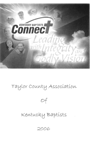

Taylor County Association



# Kentucky Baptists

2006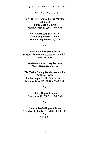TAYLOR COUNTY ASSOCIATION OF **KENTUCKY BAPTISTS** 

Twenty First Annual Spring Meeting Held with Yuma Baptist Church Monday, May 8, 2006, 7:00 P.M.

Forty Ninth Annual Meeting Friendship Baptist Church Monday, September 11, 2006

#### And

Pleasant Hill Baptist Church Tuesday, September 12, 2006 at 4:00 P.M. And 7:00 P.M.

### **Moderator, Rev. Gary Durham Clerk. Helen Henderson**

The Taylor County Baptist Association Will meet with South Campbellsville Baptist Church Monday, May 14<sup>th</sup>, 2007 at 7:00 P.M.

#### And

Liberty Baptist Church September 10, 2007 at 7:00 P.M.

#### And

Campbellsville Baptist Church Tuesday, September 11, 2007 at 4:00 PM And  $7:00$  P.M.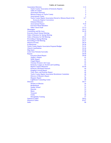#### **Table of Contents**

| <b>Association Directory</b>                                      | $1-13$         |
|-------------------------------------------------------------------|----------------|
| <b>Taylor County Association of Kentucky Baptists</b>             | 1              |
| <b>Table of Content</b>                                           | $\overline{2}$ |
| <b>Association Directory</b>                                      | 3              |
| <b>Mission Projects of Taylor County</b>                          | $\overline{4}$ |
| <b>Associational Teams</b>                                        | 5              |
| Taylor County Baptist Association Elected to Mission Board of the | $6 - 7$        |
| <b>Kentucky Baptist Convention</b>                                |                |
| <b>Ordained Ministers</b>                                         | 8              |
| <b>Associational Pastors</b>                                      | $9-10$         |
| <b>Executive Board Members</b>                                    | 11             |
| <b>Other Church Staff</b>                                         | $12 - 13$      |
| <b>Messengers</b>                                                 | $14 - 15$      |
| <b>Constitution and By-Laws</b>                                   | $16-18$        |
| <b>Executive Board Annual Meeting</b>                             | 19             |
| <b>Order of Business for Spring Meeting</b>                       | 20             |
| <b>Order of Business for Fall Meeting</b>                         | $20 - 21$      |
| <b>Proceeding of Spring Meeting</b>                               | $22 - 23$      |
| <b>Proceeding of Fall Meeting</b>                                 | $24 - 27$      |
| <b>Historical Events</b>                                          | 28-29          |
| In Memoriam                                                       | 29-30          |
| <b>Taylor County Baptist Association Proposed Budget</b>          | $31 - 32$      |
| <b>Church Contributions</b>                                       | $33 - 34$      |
| <b>Map Insert</b>                                                 | $35 - 36$      |
| Letter from Nickolai Syrovatko                                    | $37 - 38$      |
| <b>Reports</b>                                                    | 39-49          |
| <b>Executive Board Report</b>                                     | 39-40          |
| <b>Auditor's Report</b>                                           | 41             |
| <b>WMU Report</b>                                                 | 41             |
| <b>Chapel Report</b>                                              | 41             |
| <b>Christian Women's Job Corps</b>                                | 42             |
| Kentucky League on Alcohol and Gambling                           | 42             |
| <b>Baptist Campus Ministries</b>                                  | $43 - 44$      |
| <b>Kentucky Heartland Outreach</b>                                | 44             |
| <b>Kingdom Growth Report</b>                                      | 45             |
| Time, Place, and Preacher Report                                  | 46             |
| <b>Taylor County Baptist Association Resolutions Committee</b>    | 46             |
| <b>Director of Mission's Report</b>                               | 47             |
| <b>Hispanic Report</b>                                            | 48             |
| <b>Lighthouse Counseling Center</b>                               | 49             |
| <b>Directors</b>                                                  | $50 - 57$      |
| <b>Women on Mission</b>                                           | 50<br>51       |
| <b>Brotherhood</b>                                                |                |
| <b>Sunday School</b>                                              | 52             |
| Deacons<br><b>Music</b>                                           | 53<br>54       |
|                                                                   |                |
| <b>Treasurer</b><br><b>Clerks</b>                                 | 55<br>56       |
| <b>Discipleship Training</b>                                      | 57             |
| <b>Statistical Tables</b>                                         | 58-62          |
| <b>Historical Tables</b>                                          | $63 - 67$      |
| <b>Index</b>                                                      | 68             |
|                                                                   |                |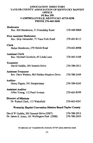### **ASSOCIATION DIRECTORY** TAYLOR COUNTY ASSOCIATION OF KENTUCKY BAPTIST **OFFICE P0 Box 298 CAMPBELLSVILLE, KENTUCKY 42719-0298** PHONE 270-465-5600

| <b>Director of Missions</b>                                                 |              |
|-----------------------------------------------------------------------------|--------------|
| <b>Assistant Auditor</b><br>Allen Young, 112 Pearl Avenue                   | 270-465-8249 |
| <b>Auditor</b><br>Henry Pippin, 301 Steeplechase                            | 270-789-4245 |
| <b>Assistant Treasurer</b><br>Rev. Dave Walters, 965 Hidden Meadow Drive    | 270-789-2449 |
| <b>Treasurer</b><br>David Gaddie, 305 Summit Drive                          | 270-789-2913 |
| <b>Assistant Clerk</b><br>Rev. Michael Goodwin, 65 Linda Lane               | 270-465-4169 |
| <b>Clerk</b><br>Helen Henderson, 279 Shiloh Road                            | 270-465-8998 |
| <b>First Assistant Moderator</b><br>Rev. Skip Alexander, 75 Trace Fork Road | 270-465-8115 |
| Moderator<br>Rev. Bill Henderson, 31 Friendship Road                        | 270-469-9809 |

# David W Gaddie, 305 Summit Drive (2007) 270-789-2913<br>Dr. James E. Jones, 101 Wellington Park (2008) 270-789-2055 David W Gaddie, 305 Summit Drive (2007)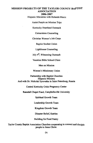# **MISSION PROJECTS OF THE TAYLOR COUNTY BAPTIST ASSOCIATION** 2006-2007

Hispanic Ministries with Rolando Muniz

**Assist People on Mission Trips** 

Kentucky Heartland Outreach

**Cornerstone Counseling** 

Christian Women's Job Corps

**Baptist Student Union** 

**Lighthouse Counseling** 

July 4<sup>th</sup>, Witnessing Outreach

Vacation Bible School Clinic

Men on Mission

Women's Missionary Union

Partnership with Baptist Churches **Hispanic Ministry** And with Dr. Nickolai Syrovatka in Saint Petersburg, Russia

Central Kentucky Crisis Pregnancy Center

Ransdall Chapel Fund, Campbellsville University

Spiritual Growth Team

Leadership Growth Team

Kingdom Growth Team

Disaster Relief, Katrina

**Building for Food Pantry** 

Taylor County Baptist Association Churches cooperating to connect and disciple people to Jesus Christ.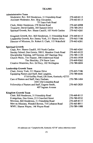# **TEAMS**

| <b>Administrative Team</b>                                        |              |
|-------------------------------------------------------------------|--------------|
| Moderator, Rev. Bill Henderson, 31 Friendship Road                | 270-469-8115 |
| Assistant Moderator, Rev. Skip Alexander,<br>75 Trace Fork Road   | 270-465-8115 |
| Clerk, Helen Henderson, 279 Shiloh Road                           | 270-465-8998 |
| Treasurer, David Gaddie, 305 Summit Drive                         | 270-789-2913 |
| Spiritual Growth, Rev. Shaun Caudill, 103 North Cardon            | 270-465-4261 |
| Kingdom Growth, Rev. Bill Henderson, 31 Friendship Road           | 270-469-8115 |
| Leadership Growth, Rev Jimmy York, 311 Sharon Drive               | 270-465-7186 |
| Director of Missions, Dr. Robert S. Clark, 115 Wakefield          | 270-465-6261 |
| <b>Spiritual Growth</b>                                           |              |
| Chair, Rev. Shawn Caudill, 103 North Cardon                       | 270-465-4261 |
| Sunday School, Don Gowin, 500 E. Meadow Creek Road                | 270-465-0122 |
| Discipleship Training, Jeff Newton, 407 Hastings Way              | 270-789-1139 |
| Church Music, Tim Hopper, 308 Underwood Road                      | 270-465-5938 |
| Tim Shockley, 274 Snow Lane                                       | 270-469-9262 |
| Creative Ministries, Rev. Ed Pavy, 102 Wellington                 | 270-789-0604 |
| <b>Leadership Growth Team</b>                                     |              |
| Chair, Jimmy York, 311 Sharon Drive                               | 270-465-7186 |
| Equipping Pastors and Staff, Bob Langlois,                        | 270-789-6646 |
| 5716 Knifley Road, Elk Horn, Kentucky 42733                       |              |
| Care of Pastors and Staff, Gary Durham,<br>3441 Old Columbia Road | 270-789-1404 |
| Fellowship of Pastors and Staff, Eugene Smith,                    | 270-465-2820 |
| 407 Ingram Avenue                                                 |              |
| <b>Kingdom Growth Team</b>                                        |              |
| Chair, Bill Henderson, 31 Friendship Road                         | 270-469-8115 |
| Evangelism, Don Green, 213 Crawford Street                        | 270-789-0532 |
| Missions, Bill Henderson, 31 Friendship Road                      | 270-469-8115 |
| Men on Missions, Wendell Bowen, 714 Lebanon Road                  | 270-465-8011 |
| WMU, Sharon Wayne, 146 Wayne Road                                 | 270-789-1088 |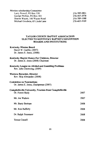**Mission scholarship Committee** Larry Rowell, PO Box 530 George Phillips, PO Box 303 Sharon Wayne, 146 Wayne Road Michael Goodwin, 65 Linda Lane

270-789-4801 270-465-2078 270-789-1088 270-465-4169

#### **TAYLOR COUNTY BAPTIST ASSOCIATION ELECTED TO KENTUCKY BAPTIST CONVENTION BOARDS AND INSTITUTIONS**

#### **Kentucky Mission Board**

David W. Gaddie, (2007) Dr. James E. Jones, (2008)

# Kentucky Baptist Homes For Children, Director

Dr. James E. Jones (2008) Chairman

# Kentucky League on Alcohol and Gambling Problems

Rev. John Chowning, (2009)

#### Western Recorder, Director

Rev. Skip Alexander, (2008)

#### **Committee on Nominations**

Dr. James E. Jones, Chairperson (2007)

#### Campbellsville University, Trustees from Campbellsville Dr. Forest Shely 2007 Mr. Joe Walters 2007 Mr. Barry Bertram 2008 Mr. Ron Rafferty 2008 Dr. Ralph Tesseneer 2008 **Teresa Cassell** 2008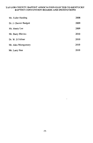# TAYLOR COUNTY BAPTIST ASSOCIATION ELECTED TO KENTUCKY BAPTIST CONVENTION BOARDS AND INSTITUTIONS

| Mr. Fuller Harding     | 2008 |
|------------------------|------|
| Dr. J. Chester Badgett | 2009 |
| Mr. Henry Lee          | 2009 |
| Mr. Barry Blevins      | 2010 |
| Dr. W. D Feltner       | 2010 |
| Mr. Alex Montgomery    | 2010 |
| Mr. Larry Noe          | 2010 |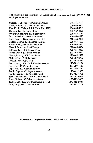#### **ORDAINED MINISTERS**

The following are members of Associational churches and are presently not employed as pastors.

| Badgett, J. Chester, 112 Columbia Court   | 270-465-5023 |
|-------------------------------------------|--------------|
| Clark, Robert S, 115 Wakefield Drive      | 270-465-6261 |
| Cox, Keith, PO Box 8, Elk Horn, KY. 42733 | 270-465-8209 |
| Crain, Mike, 102 Druin Street             | 270-789-3130 |
| Davenport, Howard, 102 Eggers street      | 270-465-5114 |
| Dix, Delbert, 822 West Main Street        | 270-465-4777 |
| Doty, Robert, Risen Avenue, Apt. #5       | 270-465-2008 |
| Gaddie, George, 636 Lebanon Avenue        | 270-465-6002 |
| Hayes, Buell, 106 Southside Drive         | 270-465-8594 |
| Howell, Dewayne, 1108 Hampton             | 270-465-6634 |
| Kibbons, Jerry, 112 Sunset Drive          | 270-465-8089 |
| Lyons, David, 111 Pearl Avenue            | 270-465-9477 |
| Meece, Drewry, 309 Grant Street           | 270-465-5927 |
| Muller, Chris, 2010 Fairview              | 270-789-2902 |
| Oldham, Robert, PO Box 5                  | 270-465-6759 |
| Parrot, Henry, 808 North Hoskins Avenue   | 270-789-3104 |
| Pavy, Ed, 102 Wellington Park             | 270-789-1580 |
| Pope, Ken, 102 Wakefield Drive            | 270-789-3354 |
| Smith, Eugene, 407 Ingram Avenue          | 270-465-2820 |
| Smith, Harold, 1449 Palestine Road        | 270-465-7715 |
| Steele, Richard and Alice, 133 Noe Road   | 270-465-6009 |
| Street, Robert, 30 Debra Kay Street       | 270-789-1620 |
| Tucker, Bob, 2293 Old Summersville Road   | 270-465-5007 |
| Vale, Terry, 383 Cainwood Road            | 270-465-7112 |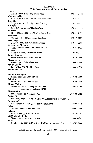#### **PASTORS** With Home Address and Phone Number

| Acton                                                                                       |              |
|---------------------------------------------------------------------------------------------|--------------|
| John Batcher, 4936 Hodgenville Road                                                         | 270-465-3462 |
| Campbellsville                                                                              |              |
| Claude (Skip) Alexander, 75 Trace Fork Road                                                 | 270-465-8115 |
| Eastside                                                                                    |              |
| Roger Robertson, 75 High Point Crossing                                                     | 270-789-9872 |
| ElkHorn                                                                                     |              |
| Rev. Jeff Newton, 407 Hastings Way                                                          | 270-789-1139 |
| Fairview<br>Donald Gowin, 500 East Meadow Creek Road                                        | 270-465-0122 |
| Friendship                                                                                  |              |
| William Henderson, 31 Friendship Road                                                       | 270-469-9809 |
| <b>Good Hope</b>                                                                            |              |
| J. Alvin Hardy, 608 N. Central Avenue                                                       | 270-465-3268 |
| <b>Green River Memorial</b>                                                                 |              |
| Gary Durham, 3441 Old Columbia Road                                                         | 270-465-6032 |
| Liberty                                                                                     |              |
| Carlos Compton, 405 Dowell Street                                                           | 270-849-2131 |
| <b>Lowell Avenue</b>                                                                        |              |
| Dave Walters, 1103 Hampton Court                                                            | 270-789-2449 |
| Meadowview                                                                                  |              |
| Brent Gupton, 3180 Maple Road                                                               | 270-465-2469 |
| <b>Mount Gilboa</b>                                                                         |              |
| Fred Miller, 350 Blue Hole Road<br><b>Mount Roberts</b>                                     | 270-465-6050 |
|                                                                                             |              |
| Mount Washington                                                                            |              |
| Jimmy York, 311 Sharon Drive                                                                | 270-465-7186 |
| Palestine                                                                                   |              |
| Danny Pace, 525 Timothy Trail                                                               | 270-789-0330 |
| <b>Pitman Valley</b>                                                                        |              |
| Dannie Nelson, 670 Danny Nelson Lane,                                                       | 270-932-5494 |
| Greensburg, Kentucky 42743                                                                  |              |
| Pleasant Hill                                                                               |              |
| James Jones, 101 Wellington Park                                                            | 270-789-2055 |
| Raikes Hill                                                                                 |              |
| Jonathan Anderson, 218 S. Walters Ave. Hodgenville, Kentucky 42748<br><b>Robinson Creek</b> |              |
| Rev. James Collison III, 2564 Smith Ridge Road                                              | 270-465-3215 |
| Salem                                                                                       |              |
| Michael Goodwin, 65 Linda Lane                                                              | 270-465-4169 |
| Saloma                                                                                      |              |
| John Chowning, 512 Fern Drive                                                               | 270-789-2707 |
| South Campbellsville                                                                        |              |
| Shaun Caudill, 103 North Cardon                                                             | 270-465-4261 |
| Yuma                                                                                        |              |
| Bob Langlois, 5716 Knifley Road, ElkHorn, Kentucky 42733                                    | 270-789-6646 |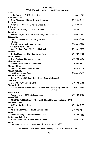#### **PASTORS**

# With Churches Address and Phone Number

| Acton                                                                           |              |
|---------------------------------------------------------------------------------|--------------|
| John Batcher, 1715 Kindness Road                                                | 270-465-4728 |
| Campbellsville                                                                  |              |
| Skip Alexander, 420 North Central Avenue                                        | 270-465-8115 |
| Eastside                                                                        |              |
| Roger Robertson, 2900 Reid's Chapel Road                                        | 270-789-9872 |
| Elk horn<br>Rev. Jeff Newton, 3145 ElkHorn Road                                 | 270-789-2113 |
| <b>Fairview</b>                                                                 |              |
| Don Gowin, PO Box 144, Mannsville, Kentucky 42758                               | 270-465-7901 |
| Friendship                                                                      |              |
| William Henderson, 5411 Bengal Road                                             | 270-465-3164 |
| <b>Good Hope</b>                                                                |              |
| J. Alvin Hardy, 8320 Saloma Road                                                | 270-465-5008 |
| <b>Green River Memorial</b>                                                     |              |
| Gary Durham, 3441 Old Columbia Road                                             | 270-465-6032 |
| Liberty<br>Carlos Compton, 3890 Spurlington Road                                | 270-789-3400 |
| <b>Lowell Avenue</b>                                                            |              |
| Dave Walters, 420 Lowell Avenue                                                 | 270-465-7163 |
| Meadowview                                                                      |              |
| Brent Gupton, 1211 ElkHorn Road                                                 | 270-465-8621 |
| <b>Mount Gilboa</b>                                                             |              |
| Fred Miller, Mount Gilboa Road                                                  | 270-465-6050 |
| <b>Mount Roberts</b>                                                            |              |
| 898 Mac Pittman Road                                                            | 270-465-5457 |
| <b>Mount Washington</b><br>Jimmy York, 6325 Scott Ridge Road, Raywick, Kentucky |              |
| <b>Palestine</b>                                                                |              |
| Danny Pace, 80 Church Lane                                                      | 270-789-0765 |
| <b>Pitman Valley</b>                                                            |              |
| Dannie Nelson, Pitman Valley Church Road, Greensburg, Kentucky<br>42743         | 270-932-5494 |
| <b>Pleasant Hill</b>                                                            |              |
| James Jones, 6380 Old Lebanon Road                                              | 270-789-1462 |
| <b>Raikes Hill</b>                                                              |              |
| Jonathan Anderson, 3890 Raikes Hill Road ElkHom, Kentucky 42733                 |              |
| <b>Robinson Creek</b>                                                           |              |
| 2564 Smith Ridge Road                                                           | 270-465-6477 |
| Salem<br>Michael Goodwin, 271 Salem Church Road                                 |              |
| Saloma                                                                          | 270-465-4544 |
| John Chowning, 1505 West Saloma Road                                            | 270-789-0082 |
| South Campbellsville                                                            |              |
| Shaun Caudill, 601 South Central Avenue                                         | 270-465-4261 |
| Yuma                                                                            |              |
| Bob Langlois, 5716 Knifley Road, ElkHorn, Kentucky 42733                        |              |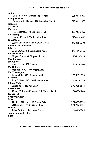# **EXECUTIVE BOARD MEMBERS**

| Acton                                       |              |
|---------------------------------------------|--------------|
| Dale Price, 1145 Pitman Valley Road         | 270-465-8890 |
| Campbellsville                              |              |
| Dr. J. Chester Badgett, 112 Columbia Count  | 270-465-5023 |
| Eastside                                    |              |
| <b>Elk Horn</b>                             |              |
| Fairview                                    |              |
| Larry Barnes, 2534 Elk Horn Road            | 270-465-6865 |
| Friendship                                  |              |
| Jimmie Kendall, 656 Fairview Road           | 270-465-5640 |
| <b>Good Hope</b>                            |              |
| Larry Underwood, 250 W. Owl Creek           | 270-465-2293 |
| <b>Green River Memorial</b>                 |              |
| Liberty                                     |              |
| John Smith, 5075 Spurlington Road           | 270-789-2865 |
| <b>Lowell Avenue</b>                        |              |
| Eugene Smith, 407 Ingram Avenue             | 270-465-2820 |
| Meadowview                                  |              |
| Mt. Gilboa                                  |              |
| Darrell Hunt, 902 Gardenia                  | 270-465-4808 |
| Mt. Roberts                                 |              |
| Bob Milby, 135 John Deere Lane              |              |
| Mt. Washington                              |              |
| Gary Miller, 7891 Saloma Road               | 270-465-3794 |
| Palestine                                   |              |
| Roy Graham, 2471 Old Lebanon Road           | 270-465-4389 |
| <b>Pitman Valley</b>                        |              |
| Julius Agee, 211 Jan Street                 | 270-465-8044 |
| <b>Pleasant Hill</b>                        |              |
| Kenny Willis, 489 Pleasant Hill Church Road | 270-465-6000 |
| <b>Raikes Hill</b>                          |              |
| <b>Robinson Creek</b>                       |              |
| <b>Salem</b>                                |              |
| Dr. Jerry Kibbons, 112 Sunset Drive         | 270-465-8098 |
| Jeff Arnolds, 4013 Bengal Road              | 270-789-3351 |
| Saloma                                      |              |
| Mike Forbis, 15 Peachtree Circle            | 270-465-6245 |
| <b>South Campbellsville</b>                 |              |
| Yuma                                        |              |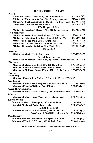# **OTHER CHURCH STAFF**

 $\mathbf{A}$ 

| ACION                                                                 |              |
|-----------------------------------------------------------------------|--------------|
| Minister of Music, James Beck, 1715 Kindness Road                     | 270-465-7856 |
| Minister of Young Adults, Paul Pike, 210 Jayne Avenue                 | 270-465-2948 |
| Minister of Youth, Alene Gilpin, 440 Elk Horn Loop Road               | 270-403-2721 |
| Minister to Children, Darlene Batcher,                                | 270-465-3462 |
| 4936 Hodgenville Road                                                 |              |
| Minister to Preschool, Beverly Pike, 210 Janyne Avenue                | 270-465-2948 |
| Campbellsville                                                        |              |
| Minister of Music, Rev. David Johnson, PO Box 530                     | 270-465-8115 |
| Minister of Education, Rev. Larry Rowell, PO Box 530                  | 270-789-4801 |
| Minister of Youth, Dave Collie, PO Box 530                            | 270-465-8115 |
| Minister of Children, Jennifer Collie, PO Box 530                     | 270-465-8115 |
| Minister Recreation/Activities, Rev. David Akers,                     | 270-465-2683 |
| PO Box 530                                                            |              |
| Eastside                                                              |              |
| Minister of Music, Keisha Robertson,                                  | 270-789-9872 |
| 75 High Point Crossing                                                |              |
| Minister of Education, James Rice, 922 Salem Church Road270-465-3208  |              |
| <b>Elk Horn</b>                                                       |              |
| Minister of Music, Greg Ford, 3145 Elk Horn Road                      | 270-789-2567 |
| Minister of Youth, Michael Julian, 100 Lula Drive                     | 270-469-4336 |
| Minister to Children, Donna Wilson, 531 N. Poplar Street              | 270-789-3478 |
| <b>Fairview</b>                                                       |              |
| Friendship                                                            |              |
| Minister of Youth, John Chilester 1 University Drive, UPO 1092        |              |
| <b>Good Hope</b>                                                      |              |
| Minister of Music, Mary Hedgepeth, 8320 Saloma Road                   | 270-465-8905 |
| Minister of Youth/Children, Daniel Keaton                             | 270-566-2412 |
| <b>Green River Memorial</b>                                           |              |
| Minister of Music, Denilson Franca, 306 Underwood Street 270-789-6767 |              |
| Liberty                                                               |              |
| Minister of Music, Brian Wise, 160 N. Calvary Road                    | 270-789-2656 |
| <b>Lowell Avenue</b>                                                  |              |
| Minister of Music, Lisa Gupton, 112 Autumn Drive                      | 270-789-1712 |
| Associate/Assistant Pastor, Benji Kelly,                              | 270-469-4767 |
| 128 Reynolds Road                                                     |              |
| Minister of Youth, Dale Henderson, 100 Sassy Court                    | 270-789-1872 |
| Boo Cowherd, 304 Hidden Meadow Dr                                     | 270-789-1169 |
| Meadowview                                                            |              |
| Minister of Music, Ernie Houk, 395 Spring Hill Drive                  | 270-465-5415 |
| Minister of Youth, Jeff Gaines, 825 W. Main Street                    | 270-465-4606 |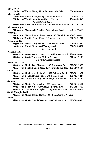| Mt. Gilboa                                                          |              |
|---------------------------------------------------------------------|--------------|
| Minister of Music, Nancy Hunt, 902 Gardenia Drive                   | 270-465-4808 |
| Mt. Roberts                                                         |              |
| Minister of Music, Cheryl Mings, 24 Harris Drive                    | 270-465-3999 |
| Minister of Youth, Jennifer and Scott Harvey,                       | 270-465-2743 |
| 496 Mill Creek Road                                                 |              |
| Minister to Children, Bonnie Webster, 638 Pittman Road 270-789-1146 |              |
| Mt. Washington                                                      |              |
| Minister of Music, Jeff Wright, 10520 Saloma Road                   | 270-789-2585 |
| Palestine                                                           |              |
| Minister of Music, Interim Steven Mann, 80 Church Lane 270-789-0765 |              |
| Minister of Youth, Danny Pace, 80 Church Lane                       | 270-789-5277 |
| <b>Pitman Valley</b>                                                |              |
| Minister of Music, Terry Dooley, 2505 Roberts Road                  | 270-465-2350 |
| Minister of Youth, Bernie and Tammy Sluder,                         | 270-789-6991 |
| 192 Clark Road                                                      |              |
| <b>Pleasant Hill</b>                                                |              |
| Minister of Music, Denis Santos, 100 Todd Street, Apt. 8            | 270-465-0336 |
| Minister of Youth/Children, Melissa Graham,                         | 270-465-2140 |
| 2759 New Lebanon Road                                               |              |
| <b>Robinson Creek</b>                                               |              |
| Minister of Music, Dan Blakeman, 300 Shreveport Dr.                 | 270-789-3908 |
| Minister of Youth, Paxton Redd, 2564 Smith Ridge Road               | 270-350-0516 |
| Salem                                                               |              |
| Minister of Music, Connie Arnold, 1499 Fairview Road                | 270-789-3351 |
| Minister of Youth, Brenda Patton, 940 Spears Road                   | 270-465-7835 |
| Minister of Children, Marilyn Goodwin, 65 Linda Lane                | 270-465-4169 |
| Saloma                                                              |              |
| Minister of Music, Tim Shockley, 274 Snow Lane                      | 270-465-5571 |
| Minister of Youth, Cathy Chowing, 512 Fern Drive                    | 270-789-2707 |
| Minister to Children, Kim Pyles, 451 Quisenberry Road               | 270-465-4004 |
| <b>South Campbellsville</b>                                         |              |
| Minister of Music, Joshua Hensley, 601 South Central Avenue         |              |
| Yuma                                                                |              |
| Minister of Music, Connie Newton, 190 Cindyann Ave.                 | 270-789-0016 |
|                                                                     |              |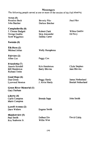Messengers<br>The following people served at one or more of the session of the Fall Meeting

| Acton (5)                |                        |                          |
|--------------------------|------------------------|--------------------------|
| <b>Rosaline Beck</b>     | <b>Beverly Pike</b>    | Paul Pike                |
| John Batcher             | Darlene Batcher        |                          |
|                          |                        |                          |
| Campbellsville (8)       |                        |                          |
| J. Chester Badgett       | Robert Clark           | Wilma Gaddie             |
| George Gaddie            | Skip Alexander         | Ed Pavy                  |
| Scott Wigginton          | Debbie Carter          |                          |
| Eastside (0)             |                        |                          |
| Elk Horn (2)             |                        |                          |
| Michael Julian           | <b>Wally Humphress</b> |                          |
|                          |                        |                          |
| Fairview (2)             |                        |                          |
| Allen Cox                | Peggy Cox              |                          |
|                          |                        |                          |
| Friendship (7)           |                        |                          |
| Jimmie Kendall           | Kris Henderson         | Clyde Stephen            |
| <b>Bill Henderson</b>    | <b>Barry Blevins</b>   | <b>Jane Blevins</b>      |
| <b>Richard Treitz</b>    |                        |                          |
| Good Hope (6)            |                        |                          |
| Don Green                | Peggy Hardy            | James Netherland         |
| Lynwood Newton           | J. Alvin Hardy         | <b>Beulah Netherland</b> |
|                          |                        |                          |
| Green River Memorial (1) |                        |                          |
| Gary Durham              |                        |                          |
|                          |                        |                          |
| Liberty (4)              |                        |                          |
| Carlis Compton           | Brenda Sapp            | John Smith               |
| Marie Compton            |                        |                          |
| Lowell Avenue (2)        |                        |                          |
| Dave Walters             | <b>Eugene Smith</b>    |                          |
|                          |                        |                          |
| Meadowview (5)           |                        |                          |
| Paul Smith               | Delbert Dix            | David Cable              |
| Roy Seaborne Jr.         | Willie Wise            |                          |
|                          |                        |                          |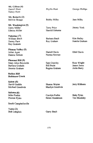| Mt. Gilboa (4)<br>Darrell Hunt<br>Nancy Hunt                                                      | Phyllis Hunt                                       | George Phillips                           |
|---------------------------------------------------------------------------------------------------|----------------------------------------------------|-------------------------------------------|
| Mt. Roberts (3)<br>Melvin Skaggs                                                                  | <b>Bobby Milby</b>                                 | Jane Milby                                |
| Mt. Washington (5)<br>Garry Miller<br>Edmon Miller                                                | <b>Terry Price</b><br>Harold Osborne               | Jimmy York                                |
| Palestine (7)<br>William Bault<br>Danny Pace<br>Roy Graham                                        | Barbara Bault<br>Roy Graham                        | Kim Bailey<br>Juanita Graham              |
| Pitman Valley (5)<br>Julian Agee<br>Dannie Nelson                                                 | Darrell Davis<br>Norma Newton                      | <b>Ethel Davis</b>                        |
| Pleasant Hill (9)<br>Mary Alice Reynolds<br>Barbara Graham<br>Jimmie Graham<br><b>Raikes Hill</b> | Sam Crawley<br><b>Bill Pruitt</b><br>Regina Graham | Rose Wright<br>James Jones<br>Anita Berry |
| <b>Robinson Creek</b>                                                                             |                                                    |                                           |
| Salem (5)<br>David Gaddie<br>Michael Goodwin                                                      | Sharon Wayne<br>Marilyn Goodwin                    | Jerry Kibbons                             |
| Saloma (6)<br>Mike Forbis<br>Preston Pyles                                                        | Carolyn Forbis<br>Helen Henderson                  | <b>Betty Pyles</b><br><b>Tim Shockley</b> |
| South Campbellsville                                                                              |                                                    |                                           |
| Yuma $(2)$<br><b>Bob Langlois</b>                                                                 | Garry Bault                                        |                                           |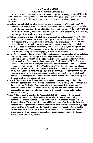# **CONSTITUTION**

#### **Mission Statement/Preamble**

We the Taylor County Association of Kentucky Baptists, shall cooperate in fulfilling the Great Commission through missions, ministry, and fellowship; and shall serve as a resource and equipping center for the churches and as a liaison between the churches and the association.

- Article 1. This body shall be called the Taylor County Association of Kentucky Baptists. Article 2. Each cooperating church shall be entitled to four (4) messengers, one of whom be the pastors, and one additional messenger for each fifty (50) members shall or fraction thereof, above the first one hundred (100) members, plus four (4) messengers from each mission sponsored.
- Article 3. The business of this body shall be, when assembled, to hear reports from the church with regard to their condition as to members, prosperity, etc., to consult together for their development and growth in all matters pertaining to the evangelism of the world, and shall hold and control such property as shall come into possession of the association.
- Article 4. The body shall exercise no authority over the local churches, and recognizes their complete autonomy. The association reserves the right, as final action, to sever relations with any cooperating church for engaging in practices not Biblical.
- Article 5. The Executive Team shall, in addition to the annual meeting, select a time and place for a spring session for the purpose of electing officers and team leaders for the next Association year, at which time the body shall elect by nomination and private ballot, or raising hand vote: Moderator; Assistant Moderator; Clerk; Assistant Clerk; Treasurer; Assistant Treasurer: and Auditor: and Assistant Auditor whose duties shall be as custom imposes on their respective offices. The Executive Team shall also nominate all team leaders at this time. All officers and team leaders shall continue in office until superseded by their successor, but none shall be eligible to the office of Moderator for more than two successive terms. In the absence of moderator and assistant moderator, the clerk shall convene the meeting and a moderator pro tem shall be elected for that one meeting. The treasurer shall serve in absence of clerk.
- Article 6. Churches desiring fellowship in the association must make application to the executive board at least six (6) months prior to the annual meeting. The application shall be referred to a Credentials Committee who shall be responsible for examining the churches' article of faith and record of mission support. The committee will also be responsible for bringing a preliminary report to the Executive Board and a final report to the Annual Meeting.
- Article 7. The Executive Board of the Association shall be composed of all pastors of cooperating churches, missions, and one lay member from each church. All general associational officers and team leaders will by virtue of their office be members of the Executive Board. The retiring Moderator will be a member of the Executive Board for the year following his active service as a moderator. Each associational officer shall hold the same office in the sessions of the Executive Board. The Executive Board shall be responsible for the work of the association between the annual sessions and shall be empowered to fill any vacancy in associational leadership. A quorum of the Executive Board consists of nine (9) members.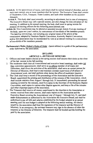- Article 8. In the appointment of teams, individuals shall be named instead of churches, and on each team named, one or more members shall be laymen. The Executive Team shall consist of Moderator, Clerk, Treasurer, Team Leaders, and such other members as the occasion demands.
	- Article 9. This body shall meet annually, according to adjustment, but in case of emergency, The Executive Board may call a special session, and also change the time and place of the meeting. In addition to the annual meeting, the body shall meet in spring session for purpose of electing officers for the following associational year.
- Article 10. This Constitution may be altered or amended (except Article 4) at any meeting of the body, upon one year's notice, by concurrence of two-thirds of the members present. The labeling terminology, not including any original intent of the article of the constitution, adopted by Southern Baptist Convention, Kentucky Baptist Convention, and/or this association may be incorporated by vote at an annual meeting by a concurrence of two-thirds of the members presents.
- Parliamentary Rules: Robert's Rules of Order (latest edition) is a guide of the parliamentary order followed by the association.

#### **BYLAWS**

#### **ARTICLE 1-DUTIES OF OFFICERS**

- 1. Officers and team leaders elected at the spring session shall assume their duties at the close of the last session in the fall meeting.
- 2. The moderator shall chair all Associational and executive board meetings, shall make Ad Hoc committee appointments; shall serve as ex officio member of all teams and committee, shall direct the activities of the association, shall serve as contact person for Director of Missions, shall lead in and maintain constant supervision of all phases of Associational work, and shall perform other duties the office of moderator requires.
- 3. The Clerk shall keep a record of the proceedings of the Association and the Executive Board; superintend the printing and distribution of the minutes of the Association, which shall include statistics from August 1 through July 31 immediately proceeding the annual meeting covered by the minutes, send five copies to the Secretary of the Kentucky Baptist Convention, send copies to various other Baptist agencies, and keep a file of the minutes and other important papers of the association.
- 4. The Treasurer shall receive all money contributed by the churches to the Association or money received from other sources, shall make reports to the Association and the Executive Board covering the Associational year of August 1 through July 31, and shall make disbursements as authorized by the Association the Executive Board, and shall be authorized to pay all bills and salaries established by the budget adopted at an annual meeting until the next budget is adopted at the following annual meeting. All checks issued by the association shall bear the signatures of the treasurer and the Director of Missions. In an emergency, the assistant treasurer may sign in the absence of either the treasurer or the Director of Missions. The treasurer shall be bonded and the bonding fee paid by the association.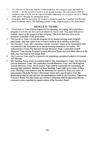- $5.$ The Director of Missions shall be recommended by the executive team and shall be by the executive board or at an annual meeting. His (Her) duties shall be elected commensurate with the job description initially adopted by the executive board in March 1999, unless changed by subsequent action.
- 6. An auditor shall be secured by the Executive Board to audit the Treasurer's books and attest his annual report. The auditing expense, if any, shall be paid by the Association.

#### **ARTICLE II-TEAMS**

- $\mathbf{1}$ . The Executive Team shall be responsible for planning, developing, and promoting a program of activities for the year in all phases of church work. This team shall give a monthly report on the progress of their program. This team shall also serve as the personnel committee of the association.
- $2.$ The Executive Team will plan the program for the annual meeting, name program participants, and shall report to the executive board as far in advance as possible.
- $3<sub>1</sub>$ The Executive Team, after consulting with the Auxiliary Teams of the Association shall recommend to the Association at its annual meeting nominations for leaders. The Administrative Team, The Spiritual Growth Ministries Team, Leadership Growth Ministries Team and the Kingdom Growth Ministries Team; and such other officers as the body may from time to time assign them.
- The Executive Team shall be responsible for presenting a proposed budget in the annual  $4.$ Fall Meeting.
- 5. The Standing Teams of the Association shall be The Administrative Team, The Spiritual Growth Ministries Team, The Leadership Growth Ministries Team, and The Kingdom Growth Ministries Team. The Executive Team shall be responsible for nominating all standing team members. Members of these Standing Teams shall serve a term of three years. Standing Team members may be nominated for successive three-year terms. A representative from the Women's Missionary Union and a representative from the Brotherhood shall be selected from recommendations made by the Executive Team to the Executive Board. All other teams and Ad Hoc Committees shall be appointed thru the moderator unless specified by special motion of the Executive Board.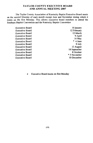#### **TAYLOR COUNTY EXECUTIVE BOARD** AND ANNUAL MEETING 2007

The Taylor County Association of Kentucky Baptist Executive Board meets on the second Monday of each month except June and November during which it meets on the first Monday. This allows executive board members to attend the Southern Baptist Convention and the Kentucky Baptist Convention

| <b>Executive Board</b> | 8 January    |
|------------------------|--------------|
| <b>Executive Board</b> | 12 February  |
| <b>Executive Board</b> | 12 March     |
| <b>Executive Board</b> | 9 April      |
| <b>Executive Board</b> | 14 May       |
| <b>Executive Board</b> | * 4 June     |
| <b>Executive Board</b> | 9 July       |
| <b>Executive Board</b> | 13 August    |
| <b>Executive Board</b> | 10 September |
| <b>Executive Board</b> | 8 October    |
| <b>Executive Board</b> | * 5 November |
| <b>Executive Board</b> | 10 December  |

**Executive Board meets on first Monday**  $\bullet$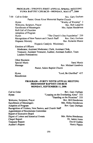#### PROGRAM-TWENTY-FIRST ANNUAL SPRING MEETING YUMA BAPTIST CHURCH-MONDAY, MAY 8TH, 2006

Rev. Gary Durham  $7.00$ Call to Order Pastor, Green River Memorial Baptist Church "Worthy of Worship" 3 Hymn Rev. Bob Langlois Welcome, Scripture, Prayer **Enrollment of Messengers** Mrs. Helen Henderson Roll Call of Churches **Adoption of Program** "The Church's One Foundation" 250 Hymn Recognition of New Pastors and Church Staff Rev. Gary Durham Rev. Rolando Muniz Hispanic Ministry Hispanic Catalytic Missionary **Election of Officers** Moderator, Assistant Moderator, Clerk, Assistant Clerk, Treasurer, Assistant Treasurer, Auditor, Assistant Auditor, Team **Leaders Nominations** 

**Other Business Special Music** Message

Sarai Muniz Rev. Michael Goodwin Pastor, Salem Baptist Church

Hymn **Benediction**  "Lord, Be Glorified" 457

#### PROGRAM-FORTY NINTH ANNUAL MEETING **FRIENDSHIP BAPTIST CHURCH** MONDAY, SEPTEMBER 11, 2006

Call to Order Rev. Gary Durham "Leaning on the Everlasting Arms" 333 Hymn "Standing on the Promises" 335 Rev. Bill Henderson Welcome, Scripture, Prayer **Enrollment of Messengers** Mrs. Helen Henderson **Adoption of Program** Rev. Gary Durham Recognition of Visitors, New Pastors, and Church Staff **Appointment of Resolutions Committee** Report of Executive Board Mrs. Helen Henderson Digest of Letters and historical Events **Chapel Report** Dr. James Jones **Treasurer Report** David Gaddie **Auditor's Report** Henry Pippin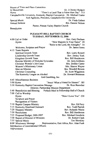Report of Time and Place Committee In Memoriam Dr. J.Chester Badgett "There's a Land That is Fairer than Day" 515 Hymn Campbellsville University, Kentucky Baptist Convention Dr. Michael Carter And Agencies. President. Campbellsville University Dr. Fieda Gebert Special Music **Annual Sermon** Bro. Dannie Nelson Pastor, Pitman Valley Baptist Church **Benediction** PLEASANT HILL BAPTIST CHURCH TUESDAY, SEPTEMBER 12, 2006 4:00 Call or Order Rev. Gary Durham "How Majestic Is Your Name" 29 Hymn "Raise to the Lord, the Almighty" 14 Welcome, Scripture and Prayer Dr. James Jones 4:15 Team Reports Spiritual Growth Team Rev. Larry Rowell Leadership Growth Team Rev. Jimmy York Kingdom Growth Team Rev. Bill Henderson Russian Ministry of Nickolai Syrovatko Dr. Jerry Kibbons Christian Women's Job Corps Mrs. Debbie Carter Women's Missionary Union Mrs. Sharon Wayne Men on Mission Bro. Wendell Bowen **Christian Counseling** Dr. Scott Wigginton The Kentucky League on Alcohol Dr. Howard Beauman And Gambling, Inc. 4:45 Miscellaneous Business 5:00 Hymn "Jesus! What a Friend for Sinners" 185 5:10 Kentucky Baptist Convention Message Dr. Ross Bauscher Director, Partnership Mission Department Potluck Meal in Fellowship Hall of Church 5:40 Benediction and Blessing 7:00 Call to Worship "How I Love You" 230 Hymn Scripture and Prayer **Recognition of Visitors** 7:10 Baptist Campus Ministry Rev. Ed Pavy 7:15 Kentucky Heartland Outreach Rev. Todd Parrish 7:20 Hispanic Ministry Rev. Rolando Muniz 7:30 Resolutions Rev. Bill Henderson 7:35 Proposed Budget, 2006-2007 Rev. Michael Goodwin 7:50 Report of Director of Missions Dr. Robert Clark 7:55 Special Music Tim Shockley 8:00 Missionary Message Representative, East Africa, Rev. Alan Funk Introduction of Associational Officers

Adjournment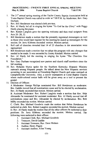#### PROCEEDING-TWENTY FIRST ANNUAL SPRING MEETING May 8, 2006 **Yuma Baptist Church**  $7:00 P.M.$

- The 21<sup>st</sup> annual spring meeting of the Taylor County Baptist Association held at  $\mathbf{L}$ Yuma Baptist Church was called to order at 7:00 P.M. by Moderator, Rev. Gary Durham.
- $2<sup>1</sup>$ Rev. Bill Henderson was elected clerk pro-tem.
- Rev. Al Hardy led all in singing the hymn "To God be the Glory" with Peggy  $\overline{3}$ . Hardy playing the piano.
- Rev. Robert Langlois gave the opening welcome and then read scripture from 4. Acts 20: 28, 32.
- Bill Henderson made a motion that the presently registered messengers as well 5. as those who would later register for the meeting be seated as messengers for the session. Dr. Jerry Kibbons seconded motion. Motion carried.
- Roll call of churches revealed that 14 of 23 churches in the association were 6. represented.
- Bill Henderson made a motion that we adopt the program with any changes that 7. needed to be made. It was seconded by Jimmy Kendall. Motion carried.
- Rev. Al Hardy led the meeting in singing the hymn "The Churches One 8. Foundation."
- 9. Rev. Gary Durham recognized new pastors and church staff members since the fall meeting.
- 10. Rev. Rolando Muniz spoke for the Southern Kentucky Hispanic Ministry outreach among Hispanic people. He talked about the New Hispanic services occurring in our association at Friendship Baptist Church and some outreach at Campbellsville University. Also, a soccer tournament at Coral Baptist Church where multi-colored soccer balls will be given away as a tool to present the gospel.
- 11. Election of Officers

A Moderator: George Phillips nominated Rev. Bill Henderson as moderator. Bro. Gaddie moved that all nominations cease and he be elected by acclamation. Rev. Al Hardy seconded that motion. Motion carried.

B. Assistant Moderator: Rev. Robert Langlois made a motion that Rev. Skip Alexander be nominated for assistant moderator. Rev. Al Hardy moved that all nominations cease and Bro. Alexander be elected by acclamation. Bro. Bob Milby seconded the motion. Motion carried.

C. Clerk: Bro. Michael Goodwin made the motion that Helen Henderson be reelected as clerk. Rev. Robert Langlois seconded the motion. Motion carried.

D. Rev. Al Hardy made the motion that all the other officers be reelected to their positions. Dr. Jerry Kibbons seconded the motion. Motion carried. The following were reelected to their offices:

- Assistant Clerk, Rev. Michael Goodwin 1.
- Treasurer, David Gaddie  $2.$
- Assistant Treasurer, Rev. Dave Walters 3.
- **Auditor, Henry Pippin** 4.
- Assistant Auditor, Allen Young 5.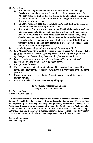- 12. Other Business
	- Rev. Robert Langlois made a motion (see note below) Rev. Michael  $a<sub>x</sub>$ Goodwin seconded the motion. Discussion on the motion occurred. Rev. Al Hardy made the motion that this motion be sent to executive committee to pass on to the appropriate committee. Bro. George Phillips seconded this motion. Motion carried.
	- Dr. Jerry Kibbons shared about the Russian Partnership, Sharing pictures  $\mathbf b$ . and an update on Nickolai Syravotha's work.
	- Rev. Michael Goodwin made a motion that \$1000.00 dollars be transferred c. into the mission scholarship fund since there will be insufficient funds to meet all the requests. Bro. John Smith seconded the motion. Bro. David Gaddie make an amendment to the motion that the executive board be given the authority to determine from which fund (s) this \$1000.00 will be transferred into the mission scholarship fund. Dr. Jerry Kibbons seconded the motion. Both motions passed.
- Sarai Muniz provided special music singing "Everything to Me." 13.
- Bro. Michael Goodwin brought the spring message sharing "What Does It Take  $14.$ to Bring someone to Christ?" Text was Mark 2: 1-5. People brought to Jesus by: Compassion, Cooperation, Determination, Innovation and Faith.
- Bro. Al Hardy led us in singing "We've a Story to Tell to the Nations"  $15.$ accompanied on the piano by his wife Peggy Hardy.
- Recognition of Visitors.  $16.$
- Chair recommends a thank you to Michael Goodwin for the message, Bro. Al 17. Hardy and Peggy Hardy for the music, and Bro. Bill Henderson for being clerk pro-tem.
- Motion to adjourn by Dr. J. Chester Badgett. Seconded by Milton Jones. 18. Motion carried.
- Bro. John Batcher dismissed the meeting with prayer. 19.

#### **Tavlor County Baptist Association**

May 8, 2006 Annual Meeting

TO: Executive Board FROM: Rev. Bob Langlois

It is hereby recommended that the Taylor County Baptist Association research and consider the need for establishing the position or office, or designation to a present office or position, the responsibility of educating, providing, and promoting Discipleship Training in the Association. Because of Jesus' command of Matthew 20: 19, 20, to go and "make disciples" of all the nations, and because some 50% of our Associational churches not having a Discipleship Training program, we exhort and encourage the Association to take the necessary steps to insure that this ministry be given the support and priority deemed necessary.

Respectfully submitted Rev. Bob Langlosi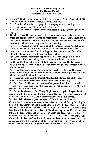#### Forty-Ninth Annual Meeting of the **Friendship Baptist Church** September 11, 2006 7:00 P.M.

- $\mathbf{1}$ . The Forty-Ninth Annual Meeting of the Taylor County Baptist Association was called to order by our moderator. Rev. Gary Durham.
- $2.$ Rev. Tim Shockley led the congregation in singing hymns "Leaning on the Everlasting Arms" and "Standing on the Promises."
- Rev. Bill Henderson welcomed everyone and read from II Timothy 4:7 and led  $3.$ in praver.
- 4. The clerk, Helen Henderson, moved that the presently registered messengers and those that register later be seated as messengers for this session. Seconded by Bro. Jimmie Graham. The roll call of the churches revealed that nineteen of the twenty-three churches were represented at the meeting.
- 5. Rev. George Gaddie moved the adoption of the program with any adjustments that need to be made. Dr. J. Chester Badgett seconded and motion carried.
- New church staff includes Bro. Scott Iaggi minister of music and Bro. John 6. Chidester student minister at Friendship Baptist church.
- Rev. Gary Durham, Moderator, appointed Rev. Robert Langlois, Rev. Bill 7. Henderson and Bro. Bob Milby to serve on the Resolutions Committee.
- Dr. Robert Clark gave the report of the Executive Board and Dr. James Jones 8. made a motion to approve and this was seconded by Bro. Jimmie Kendall. Motion carried.

A. Helen Henderson called attention to the Digest of Letters and Historical Events in the book of reports then moved to approve these as printed. Dr. Jerry Kibbons seconded and motion carried.

В. Dr. James Jones gave the Chapel Report and challenged the Taylor County Baptist to give \$100,000 between now and the next fall meeting.

C. Bro. David Gaddie gave the treasurer's report and stated several mission projects have been supported this year and moved to adopt. Rev. Al Hardy seconded and motion carried.

D. Due to the absence of Bro. Henry Pippin, auditor, a printed report dated August 24, 2006 was included in the Book of Reports. Bro. Don Green moved to accept as printed. Rev. Dave Walters seconded and motion carried.

Rev. Skip Alexander gave the report of Time, Place, and Preacher Е.

Committee. The committee recommends that the Annual Spring Meeting be held at South Campbellsville Baptist Church, May 14, 2007 with Rev. John Batcher as the preacher and Rev. Carlos Compton as alternate. The Annual Fall Meeting will be held at Liberty Baptist Church on September 10, 2007 at 7:00 P.M. with Rev. Shaun Caudill as the preacher and Rev. James Collison the alternate and on September 11, 2007 at 4:00 P.M. and 7:00 P.M. with Campbellsville Baptist Church with the current missionary as speaker. Rev. Skip Alexander moved the adoption of this report and since the recommendation comes from the committee it doesn't need a seconded. Motion carried.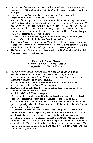- 9. Dr. J. Chester Badgett read the names of those that have gone to meet the Lord since our last meeting then read a portion of God's word from John 14 and lead in prayer.
- 10. The hymn, "There's a Land that is Fairer than Day" was sung by the congregation with Rev. Tim Shockley leading.
- 11. Rev. Dave Walters gave the report from Campbellsville University, Institutions and Agencies stating the enrollment this semester is just over 2.300 with 163 students from 30 different countries. Rev. Walters presented to Taylor County Baptist Association Library a one hundred year pictorial collection and the 100 year history of Campbellsville University written by Dr. J. Chester Badgett. These were accepted by Dr. Robert Clark.
- 12. The special music for the evening was brought by Brittney Hall a third year student at Campbellsville University from Lawrenceburg, Kentucky.
- 13. Rev. Dannie Nelson, pastor of Pitman Valley Baptist Church, brought the annual sermon. Bro. Nelson read scripture from 2 Timothy 4:1-5 and shared "Reach the Word with the Sound Doctrine"— $(1)$  Convince  $(2)$  Reburk  $(3)$  Exort.
- 14. "The Servant Song" a song of invitation, was led by Tim Shockley and Rev. Skip Alexander dismissed with praver.

#### **Forty Ninth Annual Meeting Pleasant Hill Baptist Church Tuesday** September 12, 2006 4:00 P.M.

The Forty-Ninth annual afternoon session of the Taylor County Baptist  $\mathbf{1}$ . Association was called to order by Moderator, Rev. Gary Durham.

A. The congregation sang "How Majestic is Your Name" and "Raise to the Lord, the Almighty" led by Tim Shockley.

B. Dr. James Jones, pastor, of Pleasant Hill Baptist Church welcomed everyone and read from Psalm 32 then led in prayer.

- Rev. Gary Durham called for the Team reports and requested the reports be 2. voted on once all reports are submitted.
	- A. Spiritual Growth Team: No report.

B. Leadership Growth Team: Rev. Robert Langlois reported that the "Lead like Jesus" leadership conference is scheduled for the spring of 2007.

C. Kingdom Growth Team: Rev. Bill Henderson encourages everyone to make prayer a priority; also, the shower trailer is still in use in Mississippi as an ongoing ministry for missions.

D. Russian Ministry: Dr. Jerry Kibbons reported in the book of reports is a letter from Dr. Nickolai Syrovatka, also, another letter that was received later stated work planned and work that is ongoing in the St. Petersburg area.

E. Christian Women's Job Corps: Mrs. Debbie Carter reported that Christian Women's Job Corps is in it's fifth year of operation under the umbrella of Campbellsville University. At this time there are six trained mentors. The mentors are required to spend at least one hour a week in Bible study with the women that they work with.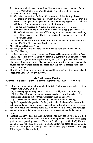- $F -$ Women's Missionary Union: Mrs. Sharon Wayne stated the theme for the year is "Christ's Followers" and this report is in the book of reports.
- G Men on Mission: No report.
- H. Christian Counseling: Dr. Scott Wigginton stated that the Lighthouse Counseling Center has been in operation since July of this year. Counseling services are open to all persons in the community regardless of church affiliation. A written report is in the book of reports.
- The Kentucky League on Alcohol and Gambling, Inc. Dr. Howard  $\mathbf{L}$ Beauman reported they want to allow sales at state parks and historic sites. Huber's winery sued the state of Kentucky to allow Internet sales and they won. There has been a 58% drop in giving by Kentucky Baptist to the Temperance League.

Dr. James Jones made the motion to accept all reports as given which was seconded by Rev. Bob Langlois. Motion carried.

- Miscellaneous Business: None  $3.$
- The congregation stood and sang "Jesus, What a Friend for Sinners" led by  $\overline{4}$ . Rev Tim Shockley.
- Dr. Ross Bauscher, Director, Partnership Missions Department, read from Psalm 5. 96: 2-3. There is a five year initiative that we as Kentucky Baptist Connect need to be aware of.  $(1)$  Increase baptism each year.  $(2)$  Disciple new Christians.  $(3)$ Start new Bible study units. (4) Launch a new ministry to reach people the church has not reached before. (5) Train new and current leaders each year for church ministries.
- 6. Rev. Gary Durham gave the benediction and blessing of the afternoon meal and adjourned until the 7:00 pm meeting.

#### **Forty Ninth Annual Meeting** Pleasant Hill Baptist Church Tuesday, September 12, 2006  $7:00$  P.M.

- Following a meal in the fellowship hall the 7:00 P.M. session was called back to  $7<sub>1</sub>$ order by Rev. Gary Durham.
	- (A) The congregation sang "How I Love You" led by Rev. Tim Shockley.

(B) Rev. Gary Durham welcomed everyone and read from Habakkuk 1:5 and challenged Christian to be "Utterly Amazed" then led in prayer.

- There were no visitors to be recognized at the evening meeting.  $(C)$
- Baptist Campus Ministry—Rev. Ed Pavy referred to the book of reports for the 8. statistics on the mission work and requested prayer for all mission involvement. Rev. Pavy reminded everyone of the 200 Anniversary of the Haystack Revivals.
- 9. Kentucky Heartland Outreach—A printed report was included in the book of reports.
- 10. Hispanic Ministry-Rev. Rolando Muniz reported there are 11 students enrolled in Bible study at the Hispanic Institute in Bowing Green. He also stated some goals for the upcoming year. (1) To reach 2,500 people by 2010. (2) Plant 50 new churches. (3) Establish eight community centers for social and community outreach. (4) Equip 16 new pastors and leaders. (5) Promote union and fellowship of the Baptist family.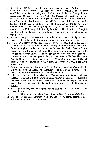- $\Box$  Resolutions  $\Box$  De it resolved that we express our gratitude to Dr. Robert Clark, Rev. Gary Durham, Helen Henderson and Bro. David Gaddie for their sacrificial work for the Kingdom of God through Taylor County Baptist Association. Thanks to Friendship Baptist and Pleasant Hill Baptist for hosting the Associational meetings and Rev. Danny Nelson, Dr. Ross Baursher and Bro. Alan Funk for the inspiriting messages. (2) Be it resolved that we support the Kentucky Ethics League. (3) Be it resolved that we encourage the Taylor County Baptist to raise their level of giving to \$100,000 for the Randall Chapel at Campbellsville University. Submitted by Bro. Bob Milby, Rev. Robert Langlois and Rev. Bill Henderson. These resolutions came from the committee and all were passed.
- 12. Proposed Budget, 2006-2007, Rev. Michael Goodwin stated the budget report Was included in the book of reports and moved to adopt. Motion carried.
- 13. Report of Director of Missions-Dr. Robert Clark stated that he has served seven years as Director of Missions for the Taylor County Baptist Association. Some highlights of this past year are as follows: the Taylor County Baptist Association was formed in 1957 with 16 churches therefore this year will be the Golden Anniversary of the association. The Taylor County Baptist Association Helped 14 church members go on mission in the amount of \$6,000. The Taylor County Baptist Association voted to give \$25,000 to the Randall Chapel. Hispanic work was started this year. A baptismal service was held at the Green River Lake.
- 14. The special music was brought by Taryn Smith a Junior at Campbellsville University, from Elizabethtown, Kentucky. She accompanied herself at the piano with a beautiful rendition of "There is a Fountain."
- 15. Missionary Message—Rev. Alan Funk, East Africa representative, read from Psalm 34: 1-3, and told of the work on going with the Somalis people located in the Horn of Africa. They are 99% Muslim and are a nomadic people. Rev. Funk asked that everyone pray for the work because prayer sustain him and his family.
- 16. Rev. Tim Shockley led the congregation in singing "The Solid Rock" as the closing hymn.
- 17. Rev. Gary Durham introduced the Associational officers for the year 206-2007.
- 18. Dr. James Jones made a motion to adjourn and Rev. Al Hardy seconded. Rev. Bill Henderson dismissed with prayer.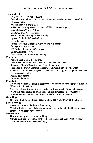# **HISTORICAL EVENTS OF CHURCHES 2006**

#### Campbellsville

Organized Disaster Relief Teams

Several trips to Mississippi and parts of Kentucky collected over \$30,000 for Katrina victims

Mission Trip to Burkna Baso

Added new Sunday School Classes and Bible Study Groups

Youth Mission Trip to Chicago

One Great Day (9/11 workday)

Thy Kingdom Come Spiritual Campaign

Upward Basketball/Cheerleading

**Easter Pageant** 

Coffee House for Campbellsville University students

College Worship Service

100 Baskets delivered at Christmas

Senior Adult led Revival

Ordination of Dr. Swok-Sing Cheung

#### **Elk Horn**

Pastor Search Committee Formed

Gave Benevolence Funeral Meals in March, May and June

Supported Church Basketball and Softball Leagues

Supported the Christ Centered Mission, Matt Page, Mission Trip: Sham

Gabehart. Mission Trip: Kaysee Graham, Mission Trip; and supported the Don Lee missions in India

Painted class rooms

**Decorated Sanctuary** 

### Friendship

Following Katrina, Friendship partnered with Shoreline Park Baptist Church in Waveland, Mississippi

There have been four mission trips to the Gulf area-one to Biloxi, Mississippi; Waveland, Mississippi; Slidell, Mississippi; and Paxcougoula, Mississippi.

Another member helped with Disaster Relief in Christian County.

### **Good Hope**

On June 11, 2006 Good Hope celebrated the 210 Anniversary of the church

## **Lowell Avenue**

Elected Assistant to the Pastor, Benii Kelly

Voted to build a Family Life Center as soon as we have \$100,000 as a starting amount. We already have the site.

# Meadowview

New roof and gutters on main building.

Completed tiling floor in basement hall, rest rooms, and Sunday school rooms Youth attended Camp Jonathan Creek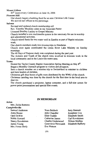#### **Mount Gilboa**

85<sup>th</sup> Anniversary Celebration on June 16, 2006

#### **Pleasant Hill**

Our church began a building fund for an new Christian Life Center

We moved our offices to the parsonage.

#### Saloma

Revised and updated church membership roll

Rev. Timothy Shockley came as our Associate Pastor

Licensed Bradley Lackey to Gospel Ministry

Church installed a new multimedia system in the sanctuary for use in worship and educational activities.

Church raised funds for two water well in Zambia as part of Baptist missions work

One church members made two mission trips to Honduras.

Church once again coordinated the Green River Lake Ministry on Sunday mornings.

The 40 Days of Purpose study was completed during the past year.

The Acteens and Youth of the church were involved in missions work in the local community and in the Louisville metro area.

#### Yuma

Hosted the Taylor County Baptist Association Spring Meeting on May 8<sup>th</sup>.

Began a Monthly Outreach program to visitors and prospects.

Sent a church member on a mission trip to Switzerland to minister to children and train leaders of children.

Christmas gift shoe boxes of gifts were distributed by the WMU of the church.

Christmas caroling was done by the church for the first time in the local area to shut-ins.

The church purchased a projector, laptop computer, and a full-size screen for power point presentations and special film events.

### **IN MEMORIAM**

#### Acton

Mrs. Zelda Bottoms

Campbellsville

Samuel Anderson Anna Boone Opal DeWitt Noble Howard Nancy Kovalainen James Young Mrs. Forest Shelv

Nora Baldock John Chandler Elsie Gaddie Catherine James Charles Underwood Genevieve Newcomb Eva Watson

Jerry Bennett Josephine Cox Elizabeth Smith Carl Kovalainen **Wilson Mullins** Elizabeth Rafferty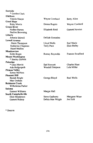| Eastside                |                   |                            |
|-------------------------|-------------------|----------------------------|
| * Gordon Clark          |                   |                            |
| ElkHorn                 |                   |                            |
| Venola Sharpe           | Wayne Cowherd     | Betty Allen                |
| Good Hope               |                   |                            |
| <b>Ruby Morris</b>      | Donna Rogers      | Wayne Cowherd              |
| <b>Green River</b>      |                   |                            |
| <b>Nadine Barnes</b>    | Elizabeth Reid    | <b>Garnett Newton</b>      |
| Pauline Browning        |                   |                            |
| Liberty                 |                   |                            |
| Johnnie Shirrell        | Delilah Gonzalez  |                            |
| <b>Lowell Avenue</b>    |                   |                            |
| . Marie Thompson        | Lloyd Walls       | Earl Mariz                 |
| Katherine Chapman       | <b>Terry Pace</b> | <b>Elsie Bailey</b>        |
| <b>Hazel Mullins</b>    |                   |                            |
| Meadowview              |                   |                            |
| <b>Edith Bright</b>     | Romey Reynolds    | <b>Frances Swafford</b>    |
| <b>Mount Washington</b> |                   |                            |
| * Stanley DeWitt        |                   |                            |
| <b>Palestine</b>        |                   |                            |
| * Glen Merritt          | Earl Fawcett      | <b>Charles Hunt</b>        |
| Ada Hedgespeth          | Wendell Simpson   | Lela Miller                |
| <b>Pitman Valley</b>    |                   |                            |
| Sonny McNess            |                   |                            |
| <b>Pleasant Hill</b>    |                   |                            |
| Beulah Bright           | George Bloyd      | <b>Ruel Wells</b>          |
| Max Graham              |                   |                            |
| <b>Robinson Creek</b>   |                   |                            |
| Wilhelmina Parker       |                   |                            |
| Saloma                  |                   |                            |
| <b>Earnest Williams</b> | Margie Hall       |                            |
| South Campbellsville    |                   |                            |
| <b>Elsie Henderson</b>  | Steve Gadberry    | Margaret Wiser<br>Joe Holt |
| <b>Garnett Bishop</b>   | Delsia Mae Wright |                            |

\* Deacon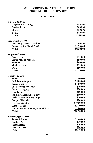# TAYLOR COUNTY BAPTIST ASSOCIATION PURPOSED BUDGET 2006-2007

# **General Fund**

| <b>Spiritual Growth</b>               |             |
|---------------------------------------|-------------|
| Discipleship Training                 | \$400.00    |
| Sunday School                         | \$800.00    |
| Music                                 | \$500.00    |
| Youth                                 | \$800.00    |
| Total                                 | \$2,500.00  |
| <b>Leadership Growth</b>              |             |
| Leadership Growth Activities          | \$1,000.00  |
| Counseling for Church Staff           | \$1,200.00  |
| Total                                 | \$2,200.00  |
| <b>Kingdom Growth</b>                 |             |
| Evangelism                            | \$500.00    |
| <b>Baptist Men on Mission</b>         | \$500.00    |
| <b>Missions</b>                       | \$600.00    |
| <b>Missions Sermons</b>               | \$150.00    |
| <b>WUM</b>                            | \$500.00    |
| Total                                 | \$2,250.00  |
| <b>Mission Projects</b>               |             |
| <b>Bibles</b>                         | \$1,000.00  |
| On Mission Support                    | \$5,000.00  |
| <b>Russia Missions</b>                | \$4,800.00  |
| <b>Crisis Pregnancy Center</b>        | \$500.00    |
| Council on Aging                      | \$200.00    |
| Food Pantry                           | \$500.00    |
| Kentucky Heartland Ministry           | \$500.00    |
| Christian Women's Job Corps           | \$500.00    |
| <b>Campus Ministries</b>              | \$200.00    |
| <b>Hispanic Ministry</b>              | \$10,000.00 |
| Disaster Relief                       | \$2,500.00  |
| Campbellsville University Chapel Fund | \$5,000.00  |
| Total                                 | \$30,700.00 |
| <b>Administrative Team</b>            |             |
| <b>Annual Minutes</b>                 | \$1,600.00  |
| <b>Bonding Fee</b>                    | \$100.00    |
| Miscellaneous                         | \$500.00    |
| Treasurer's Fee                       | \$200.00    |
| Total                                 | \$2,400.00  |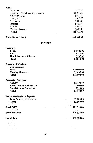| Office                                                                                 |             |
|----------------------------------------------------------------------------------------|-------------|
| Equipment                                                                              | \$200.00    |
| Equipment Repair and Replacement                                                       | \$1,200.00  |
| Office Supplies                                                                        | \$600.00    |
| Postage                                                                                | \$600.00    |
| Telephone                                                                              | \$800.00    |
| Internet                                                                               | \$300.00    |
| <b>Utilities</b>                                                                       | \$600.00    |
| Western Recorder                                                                       | \$450.00    |
| Total                                                                                  | \$4,750.00  |
| <b>Total General Fund</b>                                                              | \$44,800.00 |
|                                                                                        | Personnel   |
| Secretary                                                                              |             |
| Salary                                                                                 | \$4,000.00  |
| <b>FICA</b>                                                                            | \$310.00    |
| Health Insurance Allowance                                                             | \$500.00    |
| <b>Total</b>                                                                           | \$4,810.00  |
| <b>Director of Missions</b>                                                            |             |
| Compensation                                                                           |             |
| Salary                                                                                 | \$10,000.00 |
| Housing Allowance                                                                      | \$2,600.00  |
| <b>Total</b>                                                                           | \$12,600.00 |
| <b>Protection Coverage</b>                                                             |             |
| Annuity                                                                                | \$2,400.00  |
| Health Insurance Allowance                                                             | \$2,400.00  |
| Social Security Equivalent                                                             | \$918.00    |
| <b>Total</b>                                                                           | \$5,718.00  |
| <b>Travel and Ministry Expense</b>                                                     |             |
| Travel/Ministry/Convention                                                             | \$3,000.00  |
| <b>Total</b><br>$\mathfrak{h}_i$ , $\tilde{\mathfrak{g}}_i$ , $\tilde{\mathfrak{g}}_i$ | \$3,000.00  |
| <b>Total DOM</b><br>, ste                                                              | \$21,318.00 |
| बने हिन्द                                                                              |             |
| <b>Total Personnel</b>                                                                 | \$26,128.00 |
| <b>Grand Total</b>                                                                     | \$70,928.00 |
|                                                                                        |             |
|                                                                                        |             |
|                                                                                        |             |
|                                                                                        |             |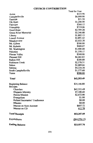# **CHURCH CONTRIBUTION**

 $\ddot{\phantom{a}}$ 

|                                | Total for Year |
|--------------------------------|----------------|
| Acton                          | \$325.90       |
| Campbellsville                 | \$6,000.00     |
| Eastside                       | \$51.50        |
| Elk Horn                       | \$1,200.00     |
| Fairview                       | \$260.12       |
| Friendship                     | \$719.06       |
| Good Hope                      | \$2,709.28     |
| <b>Green River Memorial</b>    | \$3,346.88     |
| Liberty                        | \$1,802.15     |
| Lowell Avenue                  | \$3,891.42     |
| Meadowview                     | \$2,022.28     |
| Mt. Gilboa                     | \$500.00       |
| Mt. Roberts                    | \$909.07       |
| Mt. Washington                 | \$1,400.00     |
| Palestine                      | \$1,350.17     |
| Pitman Valley                  | \$240.00       |
| Pleasant Hill                  | \$4,463.63     |
| Raikes Hill                    | \$200.00       |
| <b>Robinson Creek</b>          | \$2,570.31     |
| Salem                          | \$2,089.66     |
| Saloma                         | \$4,224.38     |
| South Campbellsville           | \$1,577.68     |
| Yuma                           | \$500.00       |
| <b>Total</b>                   | \$42,353.49    |
| <b>Beginning Balance</b>       | \$35,166.80    |
| Receipts                       |                |
| Churches                       | \$42,353.49    |
| Hispanic Ministry              | \$7,100.60     |
| <b>Russia Mission</b>          | \$2,672.00     |
| Evangelism                     | \$1.00         |
| Refund Secretaries' Conference | \$0.00         |
| <b>Minutes</b>                 | \$0.00         |
| Interest on Now Account        | \$607.72       |
| Interest on CD                 | 612.78         |
| <b>Total Receipts</b>          | \$53,347.09    |
| Expenditures                   | (\$64,576.13)  |
| <b>Ending Balance</b>          | \$23,937.76    |
|                                |                |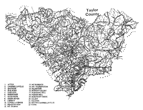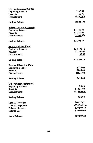| <b>Russian Learning Center</b> |                 |
|--------------------------------|-----------------|
| <b>Beginning Balance</b>       | \$596.81        |
| Receipts                       | \$0.00          |
| Disbursement                   | (\$800.00)      |
| <b>Ending Balance</b>          | (S203.19)       |
| Salary-Nickolai Syrovatka      |                 |
| <b>Beginning Balance</b>       | \$1,131.75      |
| Receipts                       | \$4,271.02      |
| <b>Disbursements</b>           | (3,300.00)      |
| <b>Ending Balance</b>          | \$2,102.77      |
| <b>Russia Building Fund</b>    |                 |
| <b>Beginning Balance</b>       | \$23,105.15     |
| Receipts                       | \$1,100.00      |
| <b>Disbursements</b>           | \$0.00          |
| <b>Ending Balance</b>          | \$24,205.15     |
| <b>Russian Education Fund</b>  |                 |
| <b>Beginning Balance</b>       | \$235.00        |
| Receipts                       | \$800.00        |
| <b>Disbursements</b>           | (\$625.00)      |
| <b>Ending Balance</b>          | <b>\$410.00</b> |
| <b>Other Russia Designated</b> |                 |
| <b>Beginning Balance</b>       | \$0.00          |
| Receipts                       | \$1,055.00      |
| Disbursements                  | (\$1,000.00)    |
| <b>Ending Balance</b>          | \$55.00         |
| <b>Total All Receipts</b>      | \$60,573.11     |
| <b>Total All Payments</b>      | (\$70,301.13)   |
| <b>Balance Checking</b>        | \$30,507.49     |
| <b>Balance CD</b>              | \$20,000.00     |
| <b>Bank Balance</b>            | \$50,507.49     |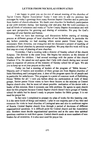#### LETTER FROM NICKOLAI SVROVATKO

I am happy to greet you on the eve of annual meeting of the churches of Taylor County Baptist Association! Today I want only to add my previous last messages by today's greetings from many Russian Baptist Churches and in particular from leaders of church education. We thank your churches for brotherly participation at our joint ministry during last learning year and pray that the Lord continues to lead all kinds of ministries and works of Taylor County Baptist Association and will open new perspective for growing and sharing of ministries. We pray for God's blessings of your families and homes.

Now we have last meetings and discussions before starting of training process at different groups of local churches of our Brotherhood. In particular the day before yesterday we had meeting where senior pastor Victor Sipko, two missionary from America, one evangelist and me discussed a project of teaching of members of local churches by personal evangelism. We pray that this work will be as first step on a way of planting of new churches.

Yesterday, I had a meeting with a director of Sunday school of the church Kolpino. The director is the sister Irina. She begins her ministry as the director of Sunday school for children. I had several meetings with the pastor of this church Vladimir II'in. He asked me and agrees that I help with church during next several vears to organize all process of the ministry of Sunday school for all ages. We ask you to keep up us at your prayers at this work.

Today we had a meeting of leaders of the program of "Bible lessons." Majority part of leaders and members of these groups are from Baptist churches of Saint Petersburg and Leningrad area. A door of this program opens for all people and in particular for unbelievers. This program is a point of common work of Publishing House "Bibles for all." I told you before about my participation at work of these groups. Senior pastor Victor wants to have these lessons as the ministry at Central Baptist church also. But he must tell about possible realization of his desire with a leader of this mission. Here it existents one little problem. He agrees to open church door for this program because Central Baptist church doesn't have groups of Sunday school for adults but he doesn't ready to prepare leaders for Bible groups. It is our need for prayer list.

In fact now I completed to prepare my plan of works for this learning year. It is the same kinds of things and matters. I plan to use majority part of my time and resources for visits to local churches of Leningrad area and also to northwest region of Russia. Central Baptist church lives through a period of decisions of different organizational questions. It is difficult point for Central church and the Association also. Brothers must decide organizational questions and at the same time spiritual questions continue to wait their queue. Central church needs at more numbers of new leaders for all ministries. It is also next need for prayer list.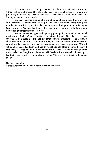I continue to work with pastors who needs at my help and care about Sunday school and groups of Bible study. Visits to local churches will give me a possibility to realize my spiritual potential through church pulpit and work with Sunday school and church leaders.

We thank you for sharing of information about our church life, ministries and successes at summer work, printing of text books and other works during last months. We thank everyone for his prayers, care and support of our ministry at God's vinevards. We pray that God will give us new possibilities in the future for a realization of joint project for His glory.

Today I remember again and again my participation at work of the annual meetings of Taylor County Baptist Association. I thank God that I can use experiences from those meeting (and also other contacts) as lessons for me at today's circumstances of my ministry. A time is going and we can see the same pictures as new views then analyze them and to look answers on current questions. When 1 visited churches of Kentucky and had conversations and other meetings I received very many information and therefore cannot use it at once. It is like reading of Bible texts. Today my thoughts and heart are with brothers from Kentucky. Please, give heartfelt greetings and best wishes for everyone. With Christ's love and God's grace, in Him.

Nickolai Syrovakto,

Christian teacher and the coordinator of church education.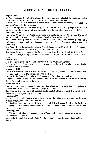# **EXECUTIVE BOARD REPORT 2005-2006**

#### **August, 2005**

Dr. Jerry Kibbons, Dr. Robert Clark, and Rev. Bill Henderson attended the Kentucky Baptist Convention Quarterly Prayer Meeting for Spiritual Awakening in Columbia.

Several Taylor County Association members attended the preview of January Bible Study on James at Campbellsville University.

Dr. Nickolai Syrovatka of St. Petersburg, Russia thanked Taylor County Baptist Association for its support of the ministry of teaching pastors and Sunday school teachers since 1994.

#### September, 2005

The Taylor County Baptist Association met in its annual meeting with Green River Memorial Baptist Church on September 12<sup>th</sup>, and with Fairview Baptist Church on September 13<sup>th</sup>.

Rev. Danny Pace, pastor of Palestine Baptist Church brought the annual sermon from Philippians 1:12 and challenged listeners to extend the Gospel. Encourage other people, and Exalt Jesus.

Rev. Randy Jones, Team Leader, Mission Growth Team and the Kentucky Baptist Convention preached from Joshua 1:6a "Be Strong and of Good Courage."

Rev. Larry Rowell, Campbellsville Baptist Church; Mrs. Marilyn Goodwin, Salem Baptist Church; and George Phillips, Mt. Gilboa Baptist Church; presented accounts of their mission trips.

#### October, 2005

Men on Mission promoted the Punt, Pass and Kick for Royal Ambassadors.

Friendship Baptist Church gave the most in per capita Lottie Moon giving in the Taylor **County Baptist Association** 

#### November, 2005

Rev. Bill Henderson, and Bro. Wendell Bowen of Friendship Baptist Church, delivered two generators and ovens to Mississippi for disaster relief.

Campbellsville Baptist Church hosted a Disaster Relief training for participants.

Fleetwood Travel Trailers of Campbellsville built a 24 foot shower trailer for the Kentucky Baptist Convention for use in disaster relief.

#### December, 2005

The Executive Board approved the emphasis that churches bring candidates for baptism to Green River Lake for a public baptism on August 27, 2006.

Rev. Skip Alexander, Pastor of Campbellsville Baptist Church, presented a report on the potential expanded gambling in Kentucky.

#### January, 2006

Green River Memorial Baptist Church hosted a one day witnessing workshop led by Alan Witham of the Kentucky Baptist Convention.

The Southern Kentucky Hispanic Ministry, Inc. called Rev. Rolando Muniz as the facilitator of Hispanic work in the region that includes four associations: Taylor County, Severns Valley, Lynn, and Liberty

#### February, 2006

The Taylor County Baptist Association held a Valentine Banquet for pastor and wives at Campbellsville University.

Campbellsville Baptist Church hosted a "food pounding" for Bro. Rolando Muniz and his family.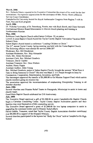#### **March, 2006**

Rev. Rolando Muniz reported to the Executive Committee the extent of his work for the four associations. He expresses appreciation for the assistance of Mrs. Penny Akers a Mission Service Corps Coordinator.

Campbellsville University hosted the Royal Ambassador Congress from Region 7 with its Punt, Pass and Kick program.

#### April. 2006

Dr. Nickolai Syrovatka, of St. Petersburg, Russia, met with Buck Burch, and Client Steward, International Mission Board Missionaries to discuss church planting and training in Northwestern Russian.

#### May, 2006

Robinson Creek Baptist Church called James Collison III, as pastor.

Lowell Avenue Baptist Church hosted the Taylor County Baptist Association Vacation Bible School Clinic.

Salem Baptist church hosted a conference "Leading Children to Christ."

The 21<sup>st</sup>, annual Taylor County Spring meeting was held with the Yuma Baptist Church.

The following officers were elected for service 2006-207

Moderator, Rev. Bill Henderson

Assistant Moderator, Rev. Skip Alexander

Clerk, Mrs. Helen Henderson

Assistant Clerk, Rev. Michael Goodwin

Treasurer, David Gaddie

Assistant Treasurer, Rev. Dave Walters

Auditor, Henry Pippin

Assistant Auditor, Allen Young

Rev. Michael Goodwin, pastor of Salem Baptist Church, brought the sermon "What Does it Take to Bring Someone to Christ?" His text was Mark 2: 1-5. People brought to Jesus by Compassion, Cooperation, Determination, Invention, and Faith.

The messengers approved the transfer of \$1,000,00 to On Mission Support Fund which assists church members going on mission trip.

The association approved the recommendation of emphasizing Discipleship Training in all member churches

#### **June**, 2006

Several churches sent Disaster Relief Teams to Pascagoula, Mississippi to assist in home and church repair..

Good Hope Baptist Church celebrated her 210 Anniversary.

#### **July, 2006**

The Executive Board approved a gift of \$1,200.00 to assist Campbellsville Baptist Church begin a Christian Counseling Center. Taylor County Baptist Association pastors and their families may avail themselves of this counseling servcie.

The Executive Board approved a grant of \$1,000.00 for two laptop computers to assist in upgrading the command trailer used in Disaster Relief efforts

David Gaddie, Treausrer, noted that Taylor County Baptist Association churches contributed over \$9,000.00 in support of the Hispanic Ministry.

Several churches participated in the laymen led "Rally for Christ" held at Campbellsville High School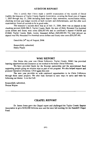#### **AUDITOR REPORT**

This is certify that I have made a careful examination of the records of David Gaddie, the treasurer of Taylor County Baptist Association, covering the fiscal year of August 1, 2005 through July 31, 2006 including bank deposit slips, statements, reconciliation sheets. checking account and ledger records of both receipts and disbursements, and that after such examination, found all records to be in good order.

The treasurer's records show that as of July 31, 2006, there was on deposit in the checking account #600-584-5, Taylor County Bank, the sum of thirty thousand five hundred seven dollars and fourty nine cents (\$30,507.49) and in certificate's deposit #136508 and #13663. Taylor County Bank, twenty thousand dollars (\$20,000.00) The total amount on deposit was fifty thousand five hundred seven dollars and fourty nine cents (\$50.507.49)

Dated this 24<sup>th</sup> day of August. 2006

Respectfully submitted, Henry Pippin

#### **WMU REPORT**

Our theme this year was Christ Followers. Taylor County WMU has provided learning opportunities and resources as we worked to be better Christ Followers.

We have provided funds for the Russian partnership and the associational fund supporting people going on mission trips as part of our program. We also helped support and promote Operation Christmas Child again this year.

The new year provides us with continued opportunities to be Christ Followers through these same projects. We also look forward to new ways to serve and train by following our theme: Live the Call.

Respectfully submitted, Sharon Wayne

#### **CHAPEL REPORT**

Dr. James Jones gave the Chapel report and challenged the Taylor County Baptist Association to give \$100,000 between now and the next fall meeting for the Ransdell Chapel Fund.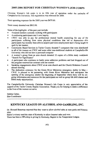#### 2005-2006 REPORT FOR CHRISTIAN WOMEN'S JOB CORPS

Christian Women's Job corps is in its fifth year of operation under the umbrella of Campbellsville University. Site registration was renewed for 2006.

Total operating expenses for the 2005 year was \$479.90.

Total money donated was \$812.00.

Some of the highlights of the past year include:

- 4 trained mentors currently working with participants
- 4 continuing participants and 1 new inquiry  $\bullet$
- CWJC was able to pay for professional mental health counseling for one of the  $\bullet$ participants suffering from some physical conditions that led to depression—this participants has recently been able to acquire part time employment and is being taught to quilt by her mentor.
- Community Based Services in Taylor County donated 7 computers that were distributed to all of the women on CWJC and some other non-traditional students at Campbellsville University who did not have a personal computer
- A women's group from an area church donated 12 copies of a Bible study workbook "Search For Significance"
- A participant who continues to battle some addiction problems and had dropped out of the program renewed her contract with her mentor
- Speaking engagements about CWJC at an area church and the Church Relations Council annual meeting.
- The dedication ceremony for the Green River Ministries emergency shelter in May-CWJC is pleased to be partnering with Green River Ministries and anticipates the opening of the emergency shelter the beginning of September where there will be ongoing information and resources for the participants as well as group life skill classes and Bible study opportunities.

The Campbellsville University Christian Women's Job Corps is very appreciative of the support of the Taylor County Baptist Association. Thank you for helping to make a difference in the lives of the women we serve.

Debbie Carter, Site-Coordinator

# KENTUCKY LEAGUE ON ALCOHOL AND GAMBLING, INC.

Dr. Howard Beauman reported that they want to allow alcohol sales at state parks and historic sites.

Huber's winery sued the state of Kentucky to allow Internet sales and won.

There has been a 58% drop in giving by Kentucky Baptist to the Temperance League.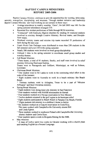#### **BAPTIST CAMPUS MINISTRIES REPORT 2005-2006**

Baptist Campus Ministry continues to provide opportunities for worship, fellowship, ministry, evangelism, discipleship, and missions. Through student initiative and leadership Baptist Campus Ministry saw God working on our campus in these ways:

- Average attendance in weekly worship, "Oasis", for fall 2005 was 149. For the spring semester attendance averaged 110.
- Recorded five student professions of faith through BCM ministries.
- "Connected" with Kentucky Baptist churches by sending 34 weekend students  $\bullet$ involved in ministry through Creative Ministry, Revival teams, and Discinle-Now teams.
- Weekend ministry teams and mission trip teams recorded 33 professions of faith during the past year.
- Finals Week Care Packages were distributed to more than 250 students in the fall semester and over 210 in the spring semester.
- Nearly 200 students were involved in small group discipleship.
- Utilized 1 John in the spring semester to coordinate small group studies and worship themes.
- **Fall Break Missions**

<sup>^</sup>Three feams, a total of 41 students, faculty, and staff were involved in relief ministry following Hurricane Katrina.

Teams went to Pascagoula and Gulfport, Mississippi, as well as Folsom, Louisiana

**Christmas Break Missions** 

 $\wedge$  One student went to Sri Lanka to work in the continuing relief effort in the wake of the tsunami.

^ Eight students went to Australia to work in a beach ministry like Beach Reach

 $\land$  Thirteen students went to Arlington. Texas to be a part of "Mission" Arlington" and their Christmas ministry.

- **Spring Break Missions** 
	- $^{\wedge}$  Eight students were doing inner-city ministry in San Francisco
	- ^ Four students worked with NAMB missionaries in Hawaii
	- ^ Four students worked on a Navajo reservation in New Mexico
	- <sup> $\land$ </sup> Twelve students returned to the gulf region to do hurricane relief
	- ^ Eight students participated in Beach Reach in Panama City Beach, Florida
	- $\sim$  Eight students did ministry in a children's home in Belize
	- ^ Six students worked on a Guaymi reservation in Costa Rica. This team worked with Campbellsville University alumni Bill and Linda Egbert.
	- ^ Three students worked in southwest Poland with Campbellsville University alumni Andrew and Corrie Dyer.
	- $\wedge$  Four students spent a week in Bulgaria filming for the IMB.
- May missions

 $\wedge$  A team of twelve spent two weeks in Ukraine working with a church plant and teaching English as a Second Language.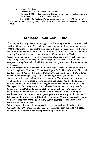- **Summer Missions** 
	- ^ There were sixty-six summer missionaries
- We sent \$8000 to the Kentucky Baptist Convention Collegiate Ministries Department to support KBC summer missions.
- Sent \$500 to the Kentucky Baptist convention to support the MANNA project.

Thank you for your continuing support of students ministry on the Campbellsville University campus.

# **KENTUCKY HEARTLAND OUTREACH**

The last year has truly been an amazing year for Kentucky Heartland Outreach. God has truly blessed our work. Through our many programs we have been able to help dozens of families. It is our goal to meet people's physical needs in order to have an opportunity to meet their spiritual needs. With the use of a Grant from the Kentucky Housing Corporation we were able to work on  $40+/-$ homes in the Taylor County/Campbellsville region. These projects include new roofs, wheel chair ramps, vinyl siding, renovation due to fire, and several other projects. This work was completed using Campbellsville University work-study students and sub-contractors in the area

Our camp season in the summer of 2006 was a huge success. We had youth groups from Pennsylvania, Tennessee, Texas, Washington D. C., North Carolina, Ohio, and Kentucky attend. We hired 13 interns from all over the country as well. Our interns helped us run our camps. They were an amazing groups of young adults. This summer we helped over 35 families in five counties. This summer we saw numerous youth and homeowners come to know our Lord and Savior. We also had a young man accept the call to ministry. God changed many lives, in many different ways. We expect this following year to be even busier than last. We currently have four homes under construction (we completed six homes last year.) We already have youth groups registered for next summer as well. Our staff will be traveling to conferences and convention to recruit youth groups for our camps so that we can help as many families in Central Kentucky as possible. We are also currently helping with the construction of the Food Pantry, and the planning for the Green River Ministries Office Complex.

Without support from the Associations like your, our work would truly be limited. We thank you for your prayers and financial support and pray that God will bless you and all of the great ministries represented by your association.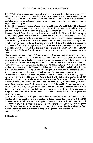# KINGDOM GROWTH TEAM REPORT

Luke chapter ten provides a description of when Jesus sent out His followers, two by two, to every town and place where He was about to go (NIV). Taylor County Baptist Association has 23 churches being sent out to prepare the way of Jesus in the lives of people to whom He will go. When we cooperate and serve together, we can prepare the way for the Kingdom of God to expand, that is, to grow.

I would like to thank Don Green, Wendell Bowen, and Sharon Wayne for their efforts this past year as Kingdom Growth Team Leaders. I would also like to thank the individual churches and pastors for their every effort to expand the Kingdom of God. In the past year, the Kingdom Growth Team directly helped out with a small Katrina/Disaster Relief donation, a witness training event held at Green River Memorial, and water/tract distribution at the 4<sup>th</sup> of July parade in Campbellsville. We have emphasized prayer and prayer events because prayer prepares the way of Jesus into the lives of people. There are two prayer events coming up this month: Pray the Interior with Dr. Mackey, which will be held at Campbellsville Baptist on September 20<sup>th</sup> at 10:30 on September 21<sup>st</sup>, at 7:00 p.m. Likely your church helped out in many other ways also. Several churches took mission teams to the Gulf Coast or other Disaster Relief activities. Praise the Lord for the number of you who prayed, gave, and vent on mission trips!

I know together we can do more. I further realize that I have not been as proactive as I could be, or even as much of a leader in this area as I should be. Yet as a team, we can accomplish more together than individually, since two are better than one and a cord of three stands is not quickly broken. Perhaps this is why Jesus sent the 72 out two by two and not one at a time.

I pray for a year of greater effectiveness for us all, for the Kingdom's sake! To reach this, we need an awareness of what the Kingdom is. It is bigger than our individual churches; it is the cause of Christ worldwide. Our participation is not just what it takes to fill our Sunday school class, our pew, or our small group. It is His Kingdom reign increasing in the world.

Let me offer a comparison. I have a vegetable garden in my side vard. It is nothing large or fancy, but it provides food for my wife, Kris, and me. It will likely give us enough to eat this winter and maybe a few snacks for others, but that is as far as it goes. By comparison, a commercial farm with hundreds of acres of corn, soybean, wheat, and other grains, livestock, etc. feeds whole communities! All the farms together feed the world. The comparison is this: a local church is like a garden, an association is like the farm, and the convention is like all farmers. We work together, we help out the neighbor in need, we share information, equipment, and labor. We toil in the fields, we sow and we water, and thru God=s power He brings the growth.

Come labor together in the Kingdom fields, they are ripe for harvest. It is my prayer for churches of the Association to work together to bigger things than what even the largest churches can do individually for the Kingdom. Together we can do it. After this the Lord appointed seventy-two others and sent them two by two ahead of Him to every town and place where He was about to go. He told them, "The harvest is plentiful, but the workers are few. Ask the Lord of the harvest, therefore, to send out workers into His harvest field." Luke 10: 1-2- NIV

**Bill Henderson**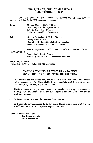## TIME, PLACE, PREACHER REPORT **SEPTEMBER 11, 2006**

The Time, Place, Preacher committee recommends the following locations, preachers and time for the 2007 Associational meetings:

| Spring:           | Monday, May 14, 2007 at 7:00 p.m.<br>South Campbellsville Baptist Church<br>John Batcher (Acton)-preacher<br>Carlos Compton (Liberty)- alternate                  |
|-------------------|-------------------------------------------------------------------------------------------------------------------------------------------------------------------|
| Fall              | Monday, September 10, 2007 at 7:00 p.m.<br>Liberty Baptist Church<br>Shawn Caudill (South Campbellsville)-- preacher<br>James Collison (Robinson Creek)-alternate |
| (Evening Session) | Tuesday, September 11, 2007 at 4:00 p.m. (afternoon session), 7:00 p.m.<br>Campbellsville Baptist Church                                                          |
|                   | Missionary speaker to be announced at a later time.                                                                                                               |

Respectfully submitted

Skip Alexander, George Phillips and John Chowning

# **TAYLOR COUNTY BAPTIST ASSOCIATION RESOLITIONS COMMITTEE REPORT 2006**

- $\mathbf{1}$ Be it resolved that we express our gratitude to Dr. Robert Clark, Rev. Gary Durham, Helen Henderson, and Bro. David Gaddie for their sacrificial work for the Kingdom of God through Taylor County Baptist Association.
- Thanks to Friendship Baptist and Pleasant Hill Baptist for hosting the Association  $2.$ meetings and Rev. Danny Nelson, Dr. Ross Baursher and Bro. Alan Funk for the inspiriting messages.
- $3<sub>1</sub>$ Be it resolved that we support the Kentucky Ethics League.
- $4.$ Be it resolved that we encourage the Taylor County Baptist to raise their level of giving to \$100,000 for the Randall Chapel at Campbellsville University.

Submitted by Bro. Bob Milby Rev. Robert Langlois **Rev Bill Henderson**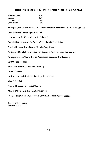# **DIRECTOR OF MISSIONS REPORT FOR AUGUST 2006**

| Miles traveled  | 154 |
|-----------------|-----|
| Letters         | 127 |
| Telephone calls | 46  |
| Conference      | 10  |

Participant, in Church Relations Council and January Bible study with Dr. Paul Chitwood

Attended Baptist Men Prayer Breakfast

Prepared copy for Western Recorder (2 issues)

Attended budget meeting for Taylor County Baptist Association

Preached Popular Grove Baptist Church, Casey County

Participant, Campbellsville University Centennial Steering Committee meeting

Participant, Taylor County Baptist Association Executive Board meeting

**Visited Funeral Homes** 

Attended Chamber of Commerce meeting

Visited churches

Participant, Campbellsville University Athletic event

Visited Hospital

Preached Pleasant Hill Baptist Church

Attended Green River Lake Baptismal service

Prepared program for Taylor County Baptist Association Annual meeting

Respectfully submitted Robert S. Clark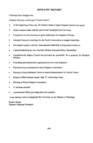# **HISPANIC REPORT**

Greetings from Hodgenville,

Hispanic Ministry is thriving in Taylor County!

- At the beginning of the year, 20 contacts made to begin Hispanic church core group  $\bullet$
- Initial contacts made with the church and Campbellsville University
- Preached at several churches to ignite enthusiasm for Hispanic Ministry
- Attended Executive meetings for the Taylor Association to engage leadership  $\bullet$
- Developed contacts with key Associational leadership to bring about resources  $\bullet$
- Trained leadership for new churches (Walter Diaz and Nelson Hernandez)
- Campbellsville Baptist Church has provided the possibility for a property for Hispanic Ministry
- Friendship and Saloma have sponsored services with Hispanics
- Planning Soccer tournament to draw Hispanic community
- Praying to bring Heibberto Torres as church planter/pastor for Taylor County
- Hispanic Bible Institute started June 1<sup>st</sup>, in Bowling Green  $\bullet$
- Meeting at Warren Baptist Association  $\bullet$
- 11 students enrolled
- Associational WMU providing lunch for students
- --I am starting work at Campbellsville University on my Masters of Theology

Rolano Muniz Hispanic Regional Strategist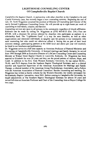#### **LIGHTHOUSE COUNSELING CENTER** Of Campbellsville Baptist Church

Campbellsville Baptist Church, in partnership with other churches in the Campbellsville and Central Kentucky area, has recently begun a new counseling ministry. Beginning the end of July, Dr. Scott Wigginton assumed the position of Minister of Counseling and Director of the newly formed Lighthouse Counseling Center. He will provide up to eight hours per week of counseling to individuals, couples, and families.

Counseling services are open to all persons in the community regardless of church affiliation. Referrals can be made by calling Dr. Wigginton at (270) 465-8115 (Ext. 216.) Fees are \$75.00, with a discount for person referred by churches who participate as partners in a scholarship fund. The "Lighthouse Fund" is a way for area churches, as well as other organizations and interested individuals, to tangibly care for persons in our community who need counseling but who could not otherwise afford it. Seeing this as part of their local missions strategy, participating partners at the \$500 level and above per year will routinely be listed in our brochures and publications.

Dr. Wigginton serves in a full time capacity as Associate Professor of Pastoral Ministries and Counseling at Campbellsville University. A licensed marriage and family therapist, he served from 1993 through 2004 as Executive Director of LifeCare Counseling Center and Counseling Minister at Walnut Street Baptist Church in Louisville, Kentucky. Dr. Wigginton has been married to Elizabeth for over 20 years and they are the proud parents of Auburn, Hope, and Caleb. In addition to his B.A. from Western Kentucky University, he has earned M.Div., Th.M.; and Ph.D degrees from the Southern Baptist Theological Seminary and is a clinical member and Approved Supervisor of the American Association for Marriage and Family Therapy, a clinical member of the American Group Psychotherapy Association, and a Fellow with the American Association of Pastoral Counselors. Besides counseling and teaching, Dr. Wigginton has written a family column for the Western Recorder, the weekly newspaper for the Kentucky Baptist Convention, since 2001. Before coming to Campbellsville University, he taught adjunctively at The Southern Baptist Theological Seminary for almost 10 years and served full-time as Associate Professor and Chair of the Counseling Area at Boyce College for two years.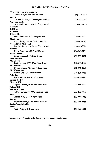# WOMEN MISSIONARY UNION

| <b>WMU Director of Association</b>                         |              |
|------------------------------------------------------------|--------------|
| Sharon Wayne, 146 Wayne Road                               | 270-789-1088 |
| Acton                                                      |              |
| Darlene Batcher, 4936 Hodgenville Road                     | 270-465-3462 |
| Campbellsville                                             |              |
| Amy Anderson, 773 Soule Chapel Road                        | 270-465-4415 |
| Eastside                                                   |              |
| <b>ElkHorn</b>                                             |              |
| Fairview                                                   |              |
| Friendship                                                 |              |
| Geraldine Jones, 5025 Bengal Road                          | 270-465-5155 |
| <b>Good Hope</b>                                           |              |
| Peggy Hardy, 608 N. Central Avenue                         | 270-465-3268 |
| <b>Green River Memorial</b>                                |              |
| Marilyn Shreve, 142 Soule Chapel Road                      | 270-465-8309 |
| Liberty                                                    |              |
| Marie Compton, 405 Dowell Street                           | 270-849-2131 |
| <b>Lowell Avenue</b>                                       |              |
| Joyce Graham, 2106 Pearl Circle                            | 270-789-1750 |
| Meadowview                                                 |              |
| Mt. Gilboa                                                 |              |
| LaQuita Hunt, 2305 White Rose Road                         | 270-465-7671 |
| <b>Mt. Roberts</b>                                         |              |
| Debbie Mardis, 789 Mac Pittman Road                        | 270-465-3291 |
| Mt. Washington                                             |              |
| Brenda York, 311 Sharon Drive                              | 270-465-7186 |
| Palestine                                                  |              |
| Barbara Bault, 828 W. Main Street                          | 270-465-7746 |
| <b>Pitman Valley</b>                                       |              |
| Pleasant Hill                                              |              |
| Regina Graham, 800 White Rose Road<br><b>Raikes Hill</b>   | 270-465-4009 |
| <b>Robinson Creek</b>                                      |              |
|                                                            | 270-465-3310 |
| Kathy Newton, 6010 Old Lebanon Road<br><b>Salem</b>        |              |
| Sharon Wayne, 146 Wayne Road                               | 270-789-1088 |
| Saloma                                                     |              |
|                                                            | 270-465-0920 |
| Mildred Gibson, 519 Lebanon Avenue<br>South Campbellsville |              |
| Yuma                                                       |              |
|                                                            | 270-465-6284 |
| Karen Wright, 25 Linda Lane                                |              |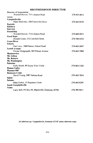# **BROTHERHOOD DIRECTOR**

| <b>Director of Association</b>                    |              |
|---------------------------------------------------|--------------|
| Wendell Bowen, 714 Lebanon Road                   | 270-465-8011 |
| Acton                                             |              |
| Campbellsville                                    |              |
| Mark McKinley, 500 Forest Hill Drive              | 270-465-8105 |
| Eastside                                          |              |
| <b>ElkHorn</b>                                    |              |
| Fairview                                          |              |
| Friendship                                        |              |
| Wendell Bowen, 714 Lebanon Road                   | 270-469-8011 |
| <b>Good Hope</b>                                  |              |
| Donald Green, 312 Crawford Street                 | 270-789-0532 |
| <b>Green River</b>                                |              |
| Liberty                                           |              |
| Paul Lacy, 1808 Barney School Road                | 270-465-2647 |
| <b>Lowell Avenue</b>                              |              |
| Forster Hedgespeth, 505 Pitman Avenue             | 270-465-7000 |
| Meadowview                                        |              |
| Mt. Gilboa                                        |              |
| Mt. Roberts                                       |              |
| Mt. Washington                                    |              |
| Palestine                                         |              |
| Kelly Beard, 40 Scenic View Circle                | 270-465-3162 |
| Pitman Valley                                     |              |
| <b>Pleasant Hill</b>                              |              |
| <b>Robinson Creek</b>                             |              |
| David Young, 2987 Saloma Road                     | 270-465-7834 |
| Salem                                             |              |
| Saloma                                            |              |
| Mike Forbis, 15 Peachtree Circle                  | 270-465-6245 |
| South Campbellsville                              |              |
| Yuma                                              |              |
| Larry Bell, PO Box 95, Mannsville, Kentucky 42758 | 270-789-9611 |
|                                                   |              |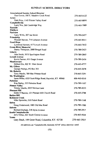# **SUNDAY SCHOOL DIRECTORS**

| <b>Associational Sunday School Director</b>             |              |
|---------------------------------------------------------|--------------|
| Don Gowin, 500 E. Meadow Creek Road                     | 270-465-0122 |
| Acton                                                   |              |
| Dale Price, 1145 Pitman Valley Road                     | 270-465-8890 |
| Campbellsville                                          |              |
| Larry Noe, 260 Cambridge Way                            | 270-465-7989 |
| Eastside                                                |              |
| <b>ElkHorn</b>                                          |              |
| Fariview                                                |              |
| Larry Willis, 207 Jan Street                            | 270-789-2457 |
| Friendship                                              |              |
| Wendell Bowen, 714 Lebanon Avenue                       | 270-465-8011 |
| <b>Good Hope</b>                                        |              |
| Lynwood Newton, 417 Lowell Avenue                       | 270-465-7652 |
| <b>Green River Memorial</b>                             |              |
| Danny Thompson, 2888 Bengal Road                        | 270-789-2423 |
| Liberty                                                 |              |
| John Smith, 5075 Spurlington Road                       | 270-789-2865 |
| <b>Lowell Avenue</b>                                    |              |
| Kevin Farmer, 611 Osage Avenue                          | 270-789-2456 |
| Meadowview                                              |              |
| Delbert Dix, 822 W. Main Street                         | 270-465-4777 |
| Mt. Gilboa                                              |              |
| George Phillips, PO Box 303                             | 270-465-2078 |
| Mt. Roberts                                             |              |
| Terry Mardis, 789 Mac Pittman Road                      | 270-465-3291 |
| Mt. Washington                                          |              |
| Jason Miller, 6325 Scott Ridge Road, Raywick, KY. 40060 | 606-465-0310 |
| Palestine                                               |              |
| Kim Bailey, 335 Palestine Road                          | 270-789-1107 |
| <b>Pitman Valley</b>                                    |              |
| Timmy Mardis, 2035 Newton Lane                          | 270-789-4233 |
| <b>Pleasant Hill</b>                                    |              |
| Eddie O'Banion, 121 Pleasant Hill Church Road           | 270-465-2788 |
| <b>Raikes Hill</b>                                      |              |
| <b>Robinson Creek</b>                                   |              |
| Mike Sprowles, 210 Pickett Road                         | 270-789-1148 |
| Salem                                                   |              |
| Doug Underwood, 1883 Old Mac Road                       | 270-789-1580 |
| Saloma                                                  |              |
| Richard Durham, 218 Jayne Avenue                        | 270-789-2917 |
| <b>South Campbellsville</b>                             |              |
| Jerry Inman, 601 South Central Avenue                   | 270-465-4529 |
| Yuma                                                    |              |
| Gary Bault, 199 Greer Road, Columbia, KY. 42728         | 270-465-3927 |
|                                                         |              |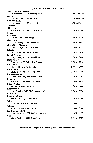# **CHAIRMAN OF DEACONS**

| <b>Moderator of Association</b>                       |                       |
|-------------------------------------------------------|-----------------------|
| Bill Henderson, 31 Friendship Road                    | 270-469-9809          |
| Acton                                                 |                       |
| David Arnold, 2384 Wise Road                          | 270-465-6976          |
| Campbellsville                                        |                       |
| Gary Osborne, 1152 Roberts Road                       | 270-465-7465          |
| Eastside                                              |                       |
| <b>Elk Horn</b>                                       |                       |
| Chris Williams, 209 Taylor Avenue                     | 270-465-9190          |
| Fairview                                              |                       |
| Friendship                                            |                       |
| Milton Jones, 5025 Bengal Road                        | 270-465-5156          |
| <b>Good Hope</b>                                      |                       |
| E. Poe Young, 320 Robinson Avenue                     | 270-46 <b>5-444</b> 3 |
| <b>Green River Memorial</b>                           |                       |
| Tony Clark, 616 Hatcher Road                          | 270-465-8732          |
| Liberty                                               |                       |
| Brian Wise, 160 Calvary Road                          | 270-789-2656          |
| <b>Lowell Avenue</b>                                  |                       |
| Troy Young, 20 Bridlewood Park                        | 270-789-3048          |
| Meadowview                                            |                       |
| David Cable, 29 Debra Kay Avenue                      | 270-465-2250          |
| Mt. Gilboa                                            |                       |
| George Phillips, PO Box 303                           | 270-465-2078          |
| Mt. Roberts                                           |                       |
| Bob Milby, 135 John Deere Lane                        | 270-789-2786          |
| Mt. Washington                                        | 270-465-5207          |
| Ronnie Sullivan, 7660 Saloma Road<br><b>Palestine</b> |                       |
| Curtis Judd, 460 Bear Track Road                      | 270-465-9019          |
| <b>Pitman Valley</b>                                  |                       |
| Orville Newton, 172 Newton Lane                       | 270-465-3844          |
| <b>Pleasant Hill</b>                                  |                       |
| Sam Crawley, 6413 Old Lebanon Road                    | 270-465-7176          |
| <b>Raikes Hill</b>                                    |                       |
| <b>Robinson Creek</b>                                 |                       |
| Mike Sprowles, 210 Pickett Road                       | 270-789-1148          |
| Salem                                                 |                       |
| Jacky Arvin, 601 Hunters Run                          | 270-465-7139          |
| Saloma                                                |                       |
| Larry Marcum, 1019 Chaney Pike                        | 270-465-3946          |
| South Campbellsville                                  |                       |
| Steve McAllister, 601 South Central Avenue            | 270-789-1537          |
| Yuma                                                  |                       |
| Garry Bault, 199 Gibb Greer Road                      | 270-465-3927          |
|                                                       |                       |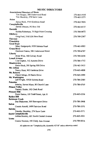# **MUSIC DIRECTORS**

| <b>Associational Directors of Music</b>          |              |
|--------------------------------------------------|--------------|
| Tim Hooper, 308 Underwood Road                   | 270-465-5938 |
| Tim Shockley, 274 Snow Lane                      | 270-465-5571 |
| Acton                                            |              |
| James Beck, 1715 Kindness Road                   | 270-465-7856 |
| Campbellsville                                   |              |
| David Johnson, PO Box 530                        | 270-465-8115 |
| Eastside                                         |              |
| Keisha Robertson, 75 High Point Crossing         | 270-789-9872 |
| ElkHorn                                          |              |
| Greg Ford, 3145 Elk Horn Road<br><b>Fairview</b> | 270-789-2567 |
| Friendship                                       |              |
| Good Hope                                        |              |
| Mary Hedgespeth, 8320 Saloma Road                | 270-465-8905 |
| Green River                                      |              |
| Denilson Franca, 306 Underwood Street            | 270-789-6767 |
| Liberty                                          |              |
| Brian Wise, 160 Calvary Road                     | 270-789-2656 |
| <b>Lowell Avenue</b>                             |              |
| Lisa Gupton, 112 Autumn Drive                    | 270-789-1712 |
| Meadowview                                       |              |
| Ernie Houk, 395 Spring Hill Drive                | 270-465-5415 |
| Mt. Gilboa                                       |              |
| Nancy Hunt, 902 Gardenia Drive                   | 270-465-4808 |
| Mt. Roberts                                      |              |
| Cheryl Mings, 24 Harris Drive<br>Mt. Washington  | 270-465-3999 |
| Jeff Wright, 10520 Saloma Road                   | 270-789-2585 |
| <b>Palestine</b>                                 |              |
| Interim, Steven Mann, 80 Church Lane             | 270-789-0765 |
| <b>Pitman Valley</b>                             |              |
| Tammy Sluder, 192 Clark Road                     |              |
| <b>Pleasant Hill</b>                             |              |
| Denis Santos, 100 Todd Street, Apt. 8            | 270-465-0336 |
| <b>Raikes Hill</b>                               |              |
| <b>Robinson Creek</b>                            |              |
| Dan Blakeman, 300 Shreveport Drive               | 270-789-3908 |
| Salem                                            |              |
| Connie Arnold, 1499 Fairview Road                | 270-789-3351 |
| Saloma                                           |              |
| Timothy Shockley, 274 Snow Lane                  | 270-465-5571 |
| South Campbellsville                             |              |
| Joshua Hensley, 601 South Central Avenue         | 270-465-4261 |
| Yuma                                             |              |
| Connie Newton, 190 Cindy Ann Avenue              | 270-789-0016 |
|                                                  |              |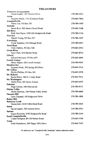#### **TREASURERS**

| Treasurer of Association                    |              |
|---------------------------------------------|--------------|
| David Gaddie, 305 Summit Drive              | 270-789-2913 |
| Acton                                       |              |
| Rosaline Breck, 1715 Kindness Road          | 270-465-7856 |
| Campbellsville                              |              |
| Henry Lee, PO Box 530                       | 270-789-1095 |
| Eastside                                    |              |
| James Rice, 922 Salem Church Road           | 270-465-3208 |
| <b>Elk Horn</b>                             |              |
| Ruth Ann Hayes, 1320 Old Hodgenville Road   | 270-789-1136 |
| Fairview                                    |              |
| Harold Young, PO Box 237                    | 270-789-1297 |
| Friendship                                  |              |
| Clyde Stephens, 5410 Bengal Road            | 270-789-0437 |
| <b>Good Hope</b>                            |              |
| Terry Dabney, PO Box 426                    | 270-465-2933 |
| Green River<br>Faye Clark, 616 Hatcher Road | 270-465-8732 |
| Liberty                                     |              |
| Edward McGuire, PO Box 657                  | 270-465-6064 |
| <b>Lowell Avenue</b>                        |              |
| Henry Pippin, 420 Lowell Avenue             | 270-789-4245 |
| Meadowview                                  |              |
| Suzanne Houk, 395 Spring Hill Drive         | 270-465-5414 |
| Mt. Gilboa                                  |              |
| Phyllis Phillips, PO Box 303                | 270-465-2078 |
| Mt. Roberts                                 |              |
| Karen Bruce, 360 N. Colsby Road             | 270-465-7613 |
| Mt. Washington                              |              |
| Shelia Price, 303 Jayne Avenue              | 270-465-6547 |
| Palestine                                   |              |
| Paige Gibson, 109 Hillcrest Dr.             | 270-789-4513 |
| <b>Pitman Valley</b>                        |              |
| Sheila Hardesty, 296 Pitman Valley Road     | 270-789-6606 |
| <b>Pleasant Hill</b>                        |              |
| Larry England, 105 Ridgecrest Drive         | 270-789-1009 |
| <b>Raikes Hill</b>                          |              |
| <b>Robinson Creek</b>                       |              |
| Donna Kerr, 2218 Tebbs Bend Road            | 270-789-3025 |
| Salem                                       |              |
| David Gaddie, 305 Summit Drive              | 270-789-2913 |
| Saloma                                      |              |
| Karen Reynolds, 4742 Hodgenville Road       | 270-789-2164 |
| South Campbellsville,                       |              |
| Linda Edrington, 89 Old Pitman Road         | 270-465-3760 |
| Yuma                                        | 270-465-7547 |
| Edith Humphress, 209 Happy Hills Drive      |              |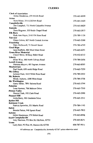# **CLERKS**

| <b>Clerk of Association</b>                      |              |
|--------------------------------------------------|--------------|
| Helen Henderson, 279 Shiloh Road                 | 270-465-8998 |
| Acton                                            |              |
| Nora Minor, 3515 ElkHorn Road                    | 270-465-3420 |
| Campbellsville                                   |              |
| Jim Campbell, 711 North Columbia Avenue          | 270-465-8820 |
| Eastside                                         |              |
| Dora Wagoner, 555 Reids Chapel Road<br>Elk Horn  | 270-465-2813 |
| Ruth Ann Hayes, 3145 Elk Horn Road               | 270-789-1136 |
| <b>Fairview</b>                                  |              |
| Diane Colvin, 807 North Central Avenue           | 270-465-5388 |
| Friendship                                       |              |
| Patty McDowell, 71 Dowell Street                 | 270-789-4795 |
| <b>Good Hope</b>                                 |              |
| Janet Rafferty, 802 West Main Street             | 270-465-6251 |
| <b>Green River Memorial</b>                      |              |
| Cheryl Shive, 40 Busy Baker Road                 | 270-932-6312 |
| Liberty                                          |              |
| Brian Wise, 160 North Calvary Road               | 270-789-2656 |
| <b>Lowell Avenue</b>                             | 270-465-8505 |
| Marietta Moyers, 401 Ingram Avenue<br>Meadowview |              |
| Paul Smith, 650 smith Ridge Road                 | 270-465-7259 |
| Mt. Gilboa                                       |              |
| JoAnne Hunt, 1615 White Rose Road                | 270-789-2932 |
| Mt. Roberts                                      |              |
| Mindy Auberry, 2280 Moss Road                    | 270-789-3758 |
| Mt. Washington                                   |              |
| Garry Miller, 7891 Saloma Road                   | 270-465-3794 |
| Palestine                                        | 270-465-7510 |
| Lena Harmon, 706 Melrose Drive<br>Pitman Valley  |              |
| Sharon Clark, 192 Clark Road                     | 270-465-2990 |
| Pleasant Hill                                    |              |
| Anita Berry, 901 Gardenia Drive                  | 270-465-2511 |
| Raikes Hill                                      |              |
| <b>Robinson Creek</b>                            |              |
| Patricia Sprowles, 551 Martin Road               | 270-789-1143 |
| Salem                                            |              |
| Brenda Patton, 940 Spears Road                   | 270-465-7835 |
| <b>Saloma</b>                                    |              |
| Helen Henderson, 279 Shiloh Road                 | 270-465-8998 |
| <b>South Campbellsville</b>                      | 270-465-8271 |
| Amy Harrison, PO Box 26, ElkHorn, 42733<br>Yuma  |              |
| Larry Bell, PO Box 95, Mannsville 42758          | 606-787-9611 |
|                                                  |              |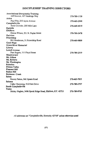# DISCIPLESHIP TRAINING DIRECTORS

| <b>Associational Discipleship Training</b>                |              |
|-----------------------------------------------------------|--------------|
| Jeff Newton, 407 Haskings Way                             | 270-789-1139 |
| Acton                                                     |              |
| Paul Pike, 210 Jayne Avenue                               | 270-465-2948 |
| Campbellsville                                            |              |
| Susie Crowder, 200 Mile Lane                              | 270-469-4019 |
| Eastside                                                  |              |
| <b>ElkHorn</b>                                            |              |
| Donna Wilson, 531 N. Poplar Street                        | 270-789-3478 |
| Fariview                                                  |              |
| Friendship                                                |              |
| Bill Henderson, 31 Friendship Road                        | 270-469-9809 |
| Good Hope                                                 |              |
| <b>Green River Memorial</b>                               |              |
| Liberty                                                   |              |
| <b>Lowell Avenue</b>                                      |              |
| Pam Rogers, 111 Floyd Street                              | 270-789-2519 |
| Meadowview                                                |              |
| Mt. Gilboa                                                |              |
| Mt. Roberts                                               |              |
| Mt. Washington                                            |              |
| Palestine                                                 |              |
| Pitman Valley                                             |              |
| <b>Pleasant Hill</b>                                      |              |
| <b>Raikes Hill</b>                                        |              |
| <b>Robinson Creek</b>                                     |              |
| Salem                                                     |              |
| Ronnie Patton, 940 Spears Road                            | 270-465-7835 |
| Saloma                                                    |              |
| Cathy Chowning, 512 Fern Drive                            | 270-789-2707 |
| South Campbellsville                                      |              |
| Yuma                                                      |              |
| Shirley Hughes, 3496 Speck Ridge Road, ElkHorn, KY. 42733 | 270-789-9765 |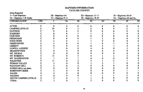# **BAPTISM INFORMATION TAYLOR COUNTY**

| <b>Items Reported</b><br>3-Total Baptisms<br>3A-Baptisms 5 & Under |    |    | 3B-Baptisms 6-8<br>3C-Baptisms 9-11 |    | 3D-Baptisms 12-17<br>3E-Baptisms 18-29 |    | 3F-Baptisms 30-59<br>3G-Baptisms 60 and Up |    |    |
|--------------------------------------------------------------------|----|----|-------------------------------------|----|----------------------------------------|----|--------------------------------------------|----|----|
| <b>CONGREGATION</b>                                                | CM |    | 3A                                  | 3B | $\overline{3C}$                        | 3D | 3E                                         | 3F | 3G |
| <b>ACTON</b>                                                       |    |    |                                     |    |                                        |    |                                            |    |    |
| <b>CAMPBELLSVILLE</b>                                              |    | 24 |                                     |    |                                        |    |                                            |    |    |
| <b>EASTSIDE</b>                                                    |    |    |                                     |    |                                        |    |                                            |    |    |
| <b>ELKHORN</b>                                                     |    |    |                                     |    |                                        |    |                                            |    |    |
| <b>FAIRVIEW</b>                                                    |    |    |                                     |    |                                        |    |                                            |    |    |
| <b>FRIENDSHIP</b>                                                  |    |    |                                     |    |                                        |    |                                            |    |    |
| <b>GOOD HOPE</b>                                                   |    |    |                                     |    |                                        |    |                                            |    |    |
| <b>GREEN RIVER</b>                                                 |    |    |                                     |    |                                        |    |                                            |    |    |
| <b>LIBERTY</b>                                                     |    |    |                                     |    |                                        |    |                                            |    |    |
| <b>LOWELL AVENUE</b>                                               |    |    |                                     |    |                                        |    |                                            |    |    |
| <b>MEADOWVIEW</b>                                                  |    |    |                                     |    |                                        |    |                                            |    |    |
| MT. GILBOA                                                         |    |    |                                     |    |                                        |    |                                            |    |    |
| <b>MT. ROBERTS</b>                                                 |    |    |                                     |    |                                        |    |                                            |    |    |
| MT. WASHINGTON                                                     |    |    |                                     |    |                                        |    |                                            |    |    |
| <b>PALESTINE</b>                                                   |    |    |                                     |    |                                        |    |                                            |    |    |
| PITMAN VALLEY                                                      |    |    |                                     |    |                                        |    |                                            |    |    |
| PLEASANT HILL                                                      |    |    |                                     |    |                                        |    |                                            |    |    |
| RAIKES HILL (no data)                                              |    |    |                                     |    |                                        |    |                                            |    |    |
| <b>ROBINSON CREEK</b>                                              |    |    |                                     |    |                                        |    |                                            |    |    |
| <b>SALEM</b>                                                       |    |    |                                     |    |                                        |    |                                            |    |    |
| <b>SALOMA</b>                                                      |    |    |                                     |    |                                        |    |                                            |    |    |
| SOUTH CAMPBELLSVILLE                                               |    |    |                                     |    |                                        |    |                                            |    |    |
| <b>YUMA</b>                                                        |    |    |                                     |    |                                        |    |                                            |    |    |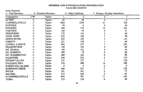# MEMBER AND CONGREGATION INFORMATION **TAYLOR COUNTY**

Items Reported

| 1-- Total Members       |                       | 2-- Resident Members | 4-- Other Additions |                 | 7-- Primary Worship Attendance |     |
|-------------------------|-----------------------|----------------------|---------------------|-----------------|--------------------------------|-----|
| Congregation            | C/M                   | Taylor               |                     | 2.              | 4.                             | 7.  |
| <b>ACTON</b>            | $\overline{\text{c}}$ | Taylor               | 61                  | $\overline{38}$ | 2                              | 6   |
| CAMPBELLSVILLE          | с                     | Taylor               | 1884                | 1204            | 41                             | 720 |
| <b>EASTSIDE</b>         | C                     | Taylor               | 99                  |                 |                                | 20  |
| <b>ELKHORN</b>          | C                     | Taylor               | 300                 | 175             | 14                             | 201 |
| <b>FAIRVIEW</b>         | C                     | Taylor               | 150                 | 93              |                                | 51  |
| <b>FRIENDSHIP</b>       | C                     | Taylor               | 172                 | 163             |                                | 60  |
| <b>GOOD HOPE</b>        | C                     | Taylor               | 222                 | 168             |                                | 90  |
| <b>GREEN RIVER</b>      | C                     | Taylor               | 422                 | 342             |                                | 115 |
| <b>LIBERTY</b>          |                       | Taylor               | 221                 | 158             |                                | 64  |
| <b>LOWELL AVENUE</b>    | С                     | Taylor               | 584                 | 517             |                                | 245 |
| <b>MEADOWVIEW</b>       |                       | Taylor               | 190                 | 183             |                                | 84  |
| MT. GILBOA              |                       | Taylor               | 159                 | 121             |                                | 30  |
| MT. ROBERTS             | C                     | Taylor               | 180                 | 18              |                                | 80  |
| MT. WASHINGTON          | C                     | Taylor               | 280                 | 165             |                                | 90  |
| PALESTINE               | C                     | Taylor               | 344                 | 252             |                                | 117 |
| PITMAN VALLEY           | C                     | Taylor               | 157                 | 157             |                                | 120 |
| PLEASANT HILL           | c                     | Taylor               | 570                 | 480             | 14                             | 180 |
| RAIKES HILL (no data)   | $\mathbf C$           | Taylor               | 0                   | 0               |                                | 0   |
| <b>ROBINSON CREEK</b>   | c                     | Taylor               | 366                 | 311             |                                | 120 |
| <b>SALEM</b>            | с                     | Taylor               | 101                 | 101             |                                | 77  |
| <b>SALOMA</b>           | с                     | Taylor               | 212                 | 160             |                                | 85  |
| <b>S-CAMPBELLSVILLE</b> | C                     | Taylor               | 816                 | 761             | 11                             | 165 |
| <b>YUMA</b>             | C                     | Taylor               | 153                 | 118             | 0                              | 40  |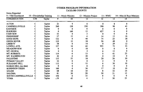# OTHER PROGRAM INFORMATION **TAYLOR COUNTY**

| Items Reported<br>9-VBS Enrollment |     | 10-Discipleship Training |             | 11-Music Ministry | 12-Mission Project | $13 - WMU$      |                 | 14—Men & Boys Missions |
|------------------------------------|-----|--------------------------|-------------|-------------------|--------------------|-----------------|-----------------|------------------------|
| <b>CONGREGATION</b>                | C/M | <b>Taylor</b>            | 9           | 10                |                    | $\overline{12}$ | $\overline{13}$ | 14                     |
| <b>ACTON</b>                       | С   | Taylor                   | 21          | 9                 |                    | 0               | 8               | 0                      |
| CAMPBELLSVILLE                     |     | Taylor                   | 260         | 130               | 230                | 300             | 90              | 45                     |
| <b>EASTSIDE</b>                    |     | Taylor                   | 0           | Ω                 |                    | 0               |                 |                        |
| <b>ELKHORN</b>                     |     | Taylor                   | $\bf{0}$    | 160               | 15                 | 627             |                 |                        |
| <b>FAIRVIEW</b>                    | с   | Taylor                   | 55          |                   |                    |                 |                 |                        |
| <b>FRIENDSHIP</b>                  | C   | Taylor                   | 57          | 15                |                    | 14              | 15              | 10                     |
| <b>GOOD HOPE</b>                   | с   | <b>Taylor</b>            | 132         | 0                 | 40                 | 75              | 25              | 18                     |
| <b>GREEN RIVER</b>                 |     | Taylor                   | 110         | 15                | 18                 | 26              | 48              |                        |
| <b>LIBERTY</b>                     |     | Taylor                   | 58          |                   | 14                 | 0               | 29              | 12                     |
| <b>LOWELL AVE.</b>                 | С   | <b>Taylor</b>            | 127         | 10                | 62                 | 925             | 75              | 55                     |
| <b>MEADOWVIEW</b>                  | c   | Taylor                   |             |                   | 18                 |                 |                 |                        |
| MT. GILBOA                         |     | Taylor                   |             |                   |                    |                 | 15              |                        |
| <b>MT. ROBERTS</b>                 |     | Taylor                   | 114         |                   | 13                 |                 | 41              | 25                     |
| MT. WASHINGTON                     | c   | Taylor                   | 42          |                   | 20                 |                 | 10              |                        |
| <b>PALESTINE</b>                   | c   | Taylor                   | 135         | 55                | 18                 | 20              | 26              | 30                     |
| PITMAN VALLEY                      | c   | Taylor                   | 55          |                   |                    |                 | 0               |                        |
| PLEASANT HILL                      | c   | Taylor                   | 115         |                   | 15                 |                 | 30              | 10                     |
| RAIKES HILL (no data)              | c   | Taylor                   | 0           |                   |                    |                 | 0               |                        |
| <b>ROBINSON CREEK</b>              | C   | Taylor                   | 160         |                   | 30                 | 17              | 10              | 10                     |
| <b>SALEM</b>                       |     | Taylor                   | 68          | 18                | 10                 |                 | 32              | 14                     |
| <b>SALOMA</b>                      |     | Taylor                   | 81          | 30                | 20                 | 30              | 21              | 15                     |
| SOUTH CAMPBELLSVILLE               |     | Taylor                   | 146         |                   | 15                 |                 |                 |                        |
| <b>YUMA</b>                        |     | Taylor                   | $\sqrt{59}$ | 45                |                    |                 | 30              | 21                     |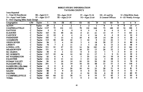#### **BIBLE STUDY INFORMATION TAYLOR COUNTY**

 $\bullet$ .

| Items Reported                   |              |               |                 |               |                   |                   |    |               |                 |                     |              |          |    |                      |                     |  |  |
|----------------------------------|--------------|---------------|-----------------|---------------|-------------------|-------------------|----|---------------|-----------------|---------------------|--------------|----------|----|----------------------|---------------------|--|--|
| 5-Total SS Enrollment            | 5B-Ages 6-11 |               |                 | 5D-Ages 18-24 |                   |                   |    | 5F-Ages 35-54 |                 |                     | 5H-65 and Up |          |    | 5J-Other-Bible Study |                     |  |  |
| 5A-Ages 5 and Under              |              | 5C-Ages 12-17 |                 |               | 5E-Ages 25-34     |                   |    | 5G-Ages 55-64 |                 | 5I General Officers |              |          |    |                      | 6-SS Weekly Average |  |  |
| 8-New Ongoing Bible Study Groups |              |               |                 |               |                   |                   |    |               |                 |                     |              |          |    |                      |                     |  |  |
| Congregation                     | CM           | Taylor        | 5               | 5Å            | 5B                | 5C                | 5D | 5E            | 5F              | 5G                  | 5H           | 51       | 5J | 6                    | 8.                  |  |  |
| <b>ACTON</b>                     | C            | Taylor        | $\overline{29}$ | 2             | 3                 | 2                 | 3  | 2             |                 | 9                   |              | $\bf{0}$ | 0  | 13                   |                     |  |  |
| CAMPBELLSVILLE                   |              | Taylor        | 1127            | 73            | 132               | 131               | 78 | 150           | 268             | 73                  | 180          | 10       | 32 | 588                  |                     |  |  |
| <b>EASTSIDE</b>                  |              | Taylor        | 0               | 0             | $\bf{0}$          | 0                 |    | 0             |                 |                     |              |          |    | $\bf{0}$             |                     |  |  |
| <b>ELKHORN</b>                   |              | Taylor        | 165             | 16            | 40                | 26                |    | 21            | 21              | 13                  | 14           |          |    | 101                  |                     |  |  |
| <b>FAIRVIEW</b>                  |              | Taylor        | 52              | 10            |                   |                   |    |               | 16              |                     |              |          |    | 32                   |                     |  |  |
| <b>FRIENDSHIP</b>                |              | Taylor        | 102             |               | 13                |                   | 10 |               | 18              | 14                  | 20           |          |    | 48                   |                     |  |  |
| <b>GOOD HOPE</b>                 |              | Taylor        | 114             | 40            | 10                | 22                |    | 10            | 9               | 14                  | 22           |          |    | 70                   |                     |  |  |
| <b>GREEN RIVER</b>               |              | Taylor        | 96              |               |                   | 10                |    |               | 18              | 20                  | 27           |          |    | 80                   |                     |  |  |
| <b>LIBERTY</b>                   |              | Taylor        | 70              |               | 6                 | 11                |    |               | 18              |                     | 13           |          |    | 48                   |                     |  |  |
| LOWELL AVE.                      |              | Taylor        | 321             | 32            | 47                | 25                | 14 | 36            | 102             | 14                  | 47           |          |    | 164                  |                     |  |  |
| <b>MEADOWVIEW</b>                |              | Taylor        | 121             |               | 15                | 12                | 10 | 23            | 13              | 20                  | 22           |          |    | 49                   |                     |  |  |
| Mt. GILBOA                       |              | Taylor        | 46              |               |                   | $12 \overline{ }$ |    | 0             | 15              |                     |              |          |    | 25                   |                     |  |  |
| MT. ROBERTS                      |              | Taylor        | 137             | 10            | 44                | 16                | 10 | 15            | 17              |                     | 9            |          |    | 59                   |                     |  |  |
| <b>MT WASHINGTON</b>             |              | Taylor        | 65              |               |                   |                   |    | 10            | 12              | 14                  | 10           |          |    | 48                   |                     |  |  |
| <b>PALESTINE</b>                 |              | Taylor        | 132             |               | 15                | 10                |    | 25            | 16              |                     | 48           |          |    | 81                   |                     |  |  |
| PITMAN VALLEY                    |              | Taylor        | 84              |               | 10                | 14                | 10 | 10            | 20              | 10                  | 14           |          |    | 70                   |                     |  |  |
| PLEASANT HILL                    |              | Taylor        | 201             |               | 16                | 19                | 10 | 10            | 48 <sup>°</sup> | 32                  | 57           |          |    | 150                  |                     |  |  |
| RAIKES HILL (No data)            |              | Taylor        | 0               |               | 0                 |                   |    | 0             | 0               |                     |              |          |    | 0                    |                     |  |  |
| <b>ROBINSON CREEK</b>            |              | Taylor        | 138             |               | 14                | 20                | 10 | 10            | 25              | 20                  | 25           |          |    | 81                   |                     |  |  |
| <b>SALEM</b>                     |              | Taylor        | 88              |               | 9                 | 10                |    | $\bf{0}$      | 30              | 12                  | 18           |          |    | 72                   |                     |  |  |
| <b>SALOMA</b>                    |              | Taylor        | 89              |               | 14                |                   |    | 16            | 20              |                     | 10           |          |    | 60                   | 35                  |  |  |
| S CAMPBELLSVILLE                 |              | Taylor        | 165             | 40            | 12                | 20                |    |               | 10              | 37                  | 62           |          |    | 90                   |                     |  |  |
| <b>YIIMA</b>                     |              | Tavlor        | 62              |               | $12 \overline{ }$ |                   |    |               | 16              |                     | 10           |          |    | 35                   |                     |  |  |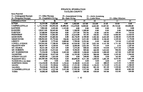#### **FINANCIL IFORMATION TAYLOR COUNTY**

| <b>Items Reported</b>    |   |                       |            |                 |                         |          |                    |           |                   |            |
|--------------------------|---|-----------------------|------------|-----------------|-------------------------|----------|--------------------|-----------|-------------------|------------|
| 15—Undesignated Receipts |   | 17-Other Receipts     |            |                 | 19-Associational Giving |          | 21-Annie Armstrong |           |                   |            |
| 16-Designated Receipts   |   | 18-Cooperative Giving |            | 20—State Giving |                         |          | 22-Lottie Moon     |           | 23-Other Missions |            |
| <b>CONGREGATION</b>      | c | 15                    | 16         | 17              | 18                      | 19       | 20                 | 21        | 22                | 23         |
| <b>ACTON</b>             | Č | 16,355.00             | 17,835.00  | 0.00            | 1,953.00                | 327.00   | 212.00             | 25.00     | 50.00             | 0.00       |
| <b>CAMPBELLSVILLE</b>    | с | 1,172,144.00          | 362,932.00 | 85,844.00       | 152,279.00              | 8,000.00 | 6,622.00           | 14,407.00 | 39,738.00         | 144,800.00 |
| <b>EASTSIDE</b>          | с | 7,902.00              | 4,345.00   | 1,123.00        | 0.00                    | 0.00     | 0.00               | 0.00      | 0.00              | 0.00       |
| <b>ELKHORN</b>           | с | 128,815.00            | 20,442.00  | 0.00            | 1,500.00                | 1,200.00 | 0.00               | 0.00      | 0.00              | 24,060.00  |
| <b>FAIRVIEW</b>          | С | 24,680.00             | 10.654.00  | 0.00            | 1,977.00                | 492.00   | 24.00              | 140.00    | 160.00            | 356.00     |
| <b>FRIENDSHIP</b>        | с | 70,058.00             | 15,843.00  | 0.00            | 12,610.00               | 701.00   | 740.00             | 770.00    | 6,800.00          | 13,420.00  |
| <b>GOOD HOPE</b>         | c | 89,636.00             | 63,603.00  | 0.00            | 28,176.00               | 2,709.00 | 1,585.00           | 2,634.00  | 4,100.00          | 15,425.00  |
| <b>GREEN RIVER</b>       | С | 108,963.00            | 45,710.00  | 526.00          | 16,255.00               | 3,251.00 | 1,500.00           | 2,184.00  | 3,549.00          | 4,178.00   |
| <b>LIBERTY</b>           | c | 71,884.00             | 5,772.00   | 3,009.00        | 7,799.00                | 2,292.00 | 0.00               | 469.00    | 749.00            | 11,655.00  |
| LOWELL AVENUE            | c | 256,945.00            | 17,586.00  | 4,600.00        | 44,930.00               | 3,621.00 | 2,831.00           | 4,161.00  | 6,751.00          | 19,026.00  |
| <b>MEADOWVIEW</b>        | с | 80,927.00             | 5,520.00   | 0.00            | 8,090.00                | 2,025.00 | 973.00             | 0.00      | 0.00              | 3,287.00   |
| <b>MT. GILBOA</b>        | C | 39,331.00             | 9,251.00   | 0.00            | 7,473.00                | 800.00   | 450.00             | 910.00    | 3,317.00          | 3,774.00   |
| <b>MT. ROBERTS</b>       | C | 62,365.00             | 12,413.00  | 0.00            | 9,596.00                | 909.00   | 664.00             | 1,614.00  | 946.00            | 1,800.00   |
| <b>MT. WASHINGTON</b>    | С | 75,356.00             | 3,706.00   | 2,445.00        | 1,000.00                | 1,200.00 | 1,200.00           | 1,002.00  | 627.00            | 2,207.00   |
| <b>PALESTINE</b>         | C | 140,160.00            | 16,477.00  | 0.00            | 16.195.00               | 1,349.00 | 804.00             | 946.00    | 1,545.00          | 1,564.00   |
| PITMAN VALLEY            | с | 49,603.00             | 1,023.00   | 0.00            | 0.00                    | 240.00   | 100.00             | 0.00      | 165.00            | 0.00       |
| PLEASANT HILL            | с | 225,987.00            | 154,748.00 | 0.00            | 60,896.00               | 4,511.00 | 1,260.00           | 1,881.00  | 4,475.00          | 5,681.00   |
| RAIKES HILL (no data)    | С | 0.00                  | 0.00       | 0.00            | 0.00                    | 0.00     | 0.00               | 0.00      | 0.00              | 0.00       |
| <b>ROBINSON CREEK</b>    | с | 116.250.00            | 43,100.00  | 1,350.00        | 9,300.00                | 2,325.00 | 0.00               | 800.00    | 1,435.00          | 1,160.00   |
| <b>SALEM</b>             | c | 95,112.00             | 10,348.00  | 1,056.00        | 17,191.00               | 1,940.00 | 1,146.00           | 1,732.00  | 2,755.00          | 1,588.00   |
| <b>SALOMA</b>            | c | 79,338.00             | 18,701.00  | 308.00          | 11,896.00               | 3,965.00 | 801.00             | 831.00    | 1,520.00          | 19,776.00  |
| S-CAMPBELLSVILLE         | c | 161,150.00            | 6,357.00   | 3,425.00        | 17,507.00               | 1,577.00 | 20.00              | 110.00    | 600.00            | 6,063.00   |
| YUMA                     | С | 34 002 00             | 8.626.00   | 0.00            | 3.408.00                | 680.00   | 938.00             | 565.00    | 522.00            | 654.00     |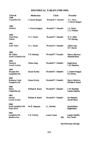# HISTORICAL TABLES (1958-1969)

| Church                                          | Moderator          | Clerk                | Preacher                                 |
|-------------------------------------------------|--------------------|----------------------|------------------------------------------|
| 1958<br>Campbellsville                          | J. Chester Badgett | Woodruff T. Chandler | D.L. Druin<br>J. Chester Badgett         |
| 1959<br>ElkHorn                                 | J. Chester Badgett | Woodruff T. Chandler | J.A. Parker<br>L.A. Fishburn             |
| 1960<br>Good Hope<br>Liberty                    | D. L. Druien       | Woodruff T. Chandler | W. E. Miller<br>T.H. Harding             |
| 1961<br>Lone Valley                             | D. L. Druien       | Woodruff T. Chandler | Giblert Sapp<br>H.T. Parrott             |
| 1962<br>Mt. Gilboa<br>South Campbellsville      | T.H. Harding       | Woodruff T. Chandler | Harvey Morrison<br><b>Marshall Black</b> |
| 1963<br>Palestine<br>Lowell Avenue              | Gilbert Sapp       | Woodruff T. Chandler | Ralph Boots<br>L.M. Hamilton             |
| 1964<br>Pleasant Hill<br>Campbellsville         | Homer Kirtley      | Woodruff T. Chandler | J. Chester Badgett<br>D.L.Druien         |
| 1965<br><b>Robinson Creek</b><br>Campbellsville | Homer Kirtley      | Woodruff T. Chandler | Harvey Morrison<br>William R. Beard      |
| 1966<br>Salem<br>Campbellsville                 | William R. Beard   | Woodruff T. Chandler | L.M. Hamilton<br>Landon Handley          |
| 1967<br>Saloma<br>Lowell Avenue                 | William R. Beard   | Woodruff T. Chandler | Joe Hampton<br>Arnold Moon               |
| 1968<br>South Campbellsville<br>Green River     | Joe R. Hampton     | J.L. McNeal          | Arnold Moon<br>Raiph Boots               |
| 1969<br>Campbellsville<br>Meadowview            | J. B. Crawley      | Lonnie Turner<br>(M) | Landon Handley<br>Roy Fowler             |

(M) Missionary Message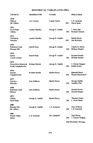# HISTORICAL TABLES (1970-1981)

| <b>CHURCH</b>                                        | <b>MODERATOR</b>       | <b>CLERK</b>        |     | <b>PREACHER</b>                          |
|------------------------------------------------------|------------------------|---------------------|-----|------------------------------------------|
| 1970<br>Elkhorn<br>Mt. Gilboa                        | J.B. Crawley           | Lonnie Turner       | (M) | L.D. Kennedy<br>David Jester             |
| 1971<br>Good Hope<br>Liberty                         | Landon Handley         | George R. Gaddie    | (M) | J. Gene Hall<br><b>Richard Clement</b>   |
| 1972<br>Friendship<br>Palestine                      | Landon Handley         | George R. Gaddie    | (M) | Hardin Hosey<br>Jim McKinley             |
| 1973<br>Robinson Creek<br>Pleasant Hill              | Darrell Hunt           | George R. Gaddie    | (M) | Charles R. Harris<br>Wilburn Hoglen      |
| 1974<br>Salem<br>Lowell Avenue                       | Darrell Hunt           | George R. Gaddie    | (M) | <b>Richard Shields</b><br>William Bender |
| 1975<br>Green River Memorial<br>South Campbellsville | <b>Richard Shields</b> | George R. Gaddie    | (M) | J. Chester Badgett<br><b>Bobby Evans</b> |
| 1976<br>Saloma<br>Campbellsville                     | <b>Richard Shields</b> | Hardin Hosey        | (M) | Marshall Black<br>Wayne Hassenmyer       |
| 1977<br>Fairview<br>Palestine                        | Jerry Kibbons          | Hardin Hosey        | (M) | George Gaddie<br>Tacahiro Oue            |
| 1978<br><b>Robinson Creek</b><br>Elkhorn             | Jerry Kibbons          | <b>Hardin Hosey</b> | (M) | Donald Gowin<br>Donald Spiegel           |
| 1979<br>Liberty<br>Good Hope                         | George R. Gaddie       | <b>Hardin Hosey</b> | (M) | Thurmon Eaton<br>J. Alvin Hardy          |
| 1980<br>Pleasant Hill<br>Mt. Gilboa                  | George R. Gaddie       | L.D. Kennedy        | (M) | Jerry Kibbons<br>L.D. Kennedy            |
| 1981<br>Pitman Valley<br>Salem                       | L.D. Kennedy           | Jim Campbell        | (M) | Paul Homer<br>J. Chester Badgett         |
|                                                      |                        |                     |     | (M) Missionary Message                   |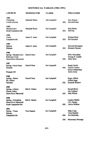# HISTORICAL TABLES (1982-1991)

| <b>CHURCH</b>                                                              | MODERATOR            | CLERK        |     | <b>PREACHER</b>                                                          |
|----------------------------------------------------------------------------|----------------------|--------------|-----|--------------------------------------------------------------------------|
| 1982<br>Friendship<br>Lowell Avenue                                        | Marshall Black       | Jim Campbell | (M) | Don Watson<br>Jim McKinley                                               |
| 1983<br>Meadowview<br>South Campbellsville                                 | Marshall Black       | Jim Campbell | (M) | <b>Bob Martin</b><br>Jeff Day                                            |
| 1984<br>Yuma<br>Campbellsville                                             | James E. Jones       | Jim Campbell | (M) | Richard Reed<br>Bill Marshall                                            |
| 1985<br>Saloma<br>Elkhorn                                                  | James E. Jones       | Jim Campbell | (M) | Howard Davenport<br><b>Richard Clement</b>                               |
| 1986<br>Spring—Meadowview<br><b>Robinson Creek</b><br>Green River Memorial | Darrell Hunt         | Jim Campbell | (M) | Mike Moynahan<br>George R. Gaddie<br>Allen West                          |
| 1987<br>Spring—Good Hope<br>Eastside<br>Pleasant Hill                      | Darrell Hunt         | Jim Campbell | (M) | <b>Randy Smith</b><br>Taylor County/<br>Kenya Partnership<br>James Jones |
| 1988<br>Spring-Salem<br>Mt. Gilboa<br>Palestine                            | Darrell Hunt         | Jim Campbell | (M) | Roger Alford<br>Gilbert Sapp<br><b>Kenneth Winters</b>                   |
| 1989<br>Spring-Liberty<br>Pitman Valley<br>Green River Memorial            | <b>Bob E. Martin</b> | Jim Campbell | (M) | Donald Berry<br>Jim Collison<br>John Wilson                              |
| 1990<br>Spring—Friendship<br>Green River Memorial<br>South Campbellsville  | <b>Bob E. Martin</b> | Jim Campbell | (M) | Landon Hadley<br>J.W. Farmer<br>Calvin Wilkins                           |
| 1991<br>Spring-Yuma<br>Saloma<br>Campbellsville                            | <b>Tom Gupton</b>    | Jim Campbell | (M) | Mike Crain<br>Chris Mueller<br>Jim McKinley                              |
|                                                                            |                      |              | (M) | <b>Missionary Message</b>                                                |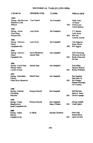# HISTORICAL TABLES (1992-2000)

| <b>CHURCH</b>                                                 | MODERATOR                       | CLERK                         |     | <b>PREACHER</b>                                                                   |
|---------------------------------------------------------------|---------------------------------|-------------------------------|-----|-----------------------------------------------------------------------------------|
| 1992<br>Spring-Meadowview<br><b>Robinson Creek</b><br>Elkhorn | <b>Tom Gupton</b>               | Jim Campbell                  | (M) | Mark Jones<br>Al Hardy<br>Charles and<br>Carrie Hedrick                           |
| 1993<br>Spring-Acton<br>Good Hope<br>Pleasant Hill            | Larry Koch                      | Jim Campbell                  | (M) | J.V. Mullen<br>Larry Koch<br><b>Bill</b> and<br>Laverne Arnold                    |
| 1994<br>Spring-Fairview<br>Salem<br>Campbellsville            | Larry Koch                      | Jim Campbell                  | (M) | Tim Najpaver<br><b>Brian Fannin</b><br><b>Bill Jaggers</b>                        |
| 1995<br>Spring-Fairview<br>Salem<br>Campbellsville            | David Henderson<br>Darrell Hunt | Jim Campbell                  | (M) | John Chowning<br>Dewayne Howell<br>Becky Mann and<br>Ed Garr                      |
| 1996<br>Spring-Good Hope<br>Pitman Valley<br>Lowell Avenue    | Darrell Hunt                    | Jim Campbell                  | (M) | Fred Miller<br>Herman Wilkins<br><b>Benton Williams</b>                           |
| 1997<br>Spring-Friendship<br>Liberty<br>Green River Memorial  | Darrell Hunt                    | Jim Campbell                  | (M) | Ray England<br>Dan Hunt, Sr.<br>Jim Strange,<br>Dianna Derringer,<br>J.B. Crawley |
| 1998<br>Spring-Eastside<br>Friendship<br>Palestine            | Dwayne Howell                   | Jim Campbell                  | (M) | Jeff McCarty<br>James E. Jones<br>David Coppage                                   |
| 1999<br>Spring-Yuma<br>Meadowview<br>South Campbellsville     | Dwayne Howell                   | Jim Campbell<br>Nancy Walters | (M) | George Gaddie<br>Linda Egbert                                                     |
| 2000<br>Spring-Salem<br>Saloma<br>Campbellsville              | Al Hardy                        | Michael Goodwin               | (M) | Gene Hall<br>Donnie Blick<br>Larrry Rowell                                        |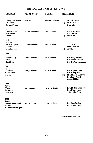# HISTORICAL TABLES (2001-2007)

| <b>CHURCH</b>                                                               | <b>MODERATOR</b>       | CLERK                  | <b>PREACHER</b> |                                                                                                         |
|-----------------------------------------------------------------------------|------------------------|------------------------|-----------------|---------------------------------------------------------------------------------------------------------|
| 2001<br>Spring-Mt. Roberts<br>Mt. Gilboa<br>Robinson Creek                  | Al Hardy               | Michael Goodwin        | (M)             | Dr. Ted Taylor<br>Dr. Nikolai<br>Syrovatka                                                              |
| 2002<br>Spring-Acton<br>Pleasant Hill<br>Elkhorn                            | Michael Goodwin        | Helen Franklin         | (M)             | Bro. Dave Walters<br><b>Ron Gleaves</b><br>David Hill                                                   |
| 2003<br>Spring-<br>Mt. Washington<br>Faiview<br>Lowell Avenue               | Michael Goodwin        | Helen Franklin         | (M)             | Jimmie York<br>Skip Alexander<br>John Kelly                                                             |
| 2004<br>Spring-<br>Pitman Valley<br>Palestine<br>Good Hope                  | <b>George Phillips</b> | Helen Franklin         |                 | Rev. Gary Durham<br>Rev. John Chowning<br>(M) Dr. Van Thompson                                          |
| 2005<br>Spring<br>Raikes Hill<br>Green River<br>Fairview                    | George Phillips        | Helen Franklin         | (M)             | Rev. Roger Robertson<br>Rev. Danny Pace<br>Mrs. Marilyn Goodwin<br>Rev. Larry Rowell<br>George Phillips |
| 2006<br>Spring<br>Yuma<br>Friendship<br><b>Pleasant Hill</b>                | Gary Durham            | <b>Helen Henderson</b> |                 | Rev. Michael Goodwin<br>Rev. Danny Nelson<br>* Bro. Alan Funk                                           |
| 2007<br>Spring<br>South Campbellsville<br>Liberty<br>Campbellsville Baptist | <b>Bill Henderson</b>  | Helen Henderson        |                 | Bro. John Batcher<br>Bro. Shawn Caudill                                                                 |

(M) Missionary Message